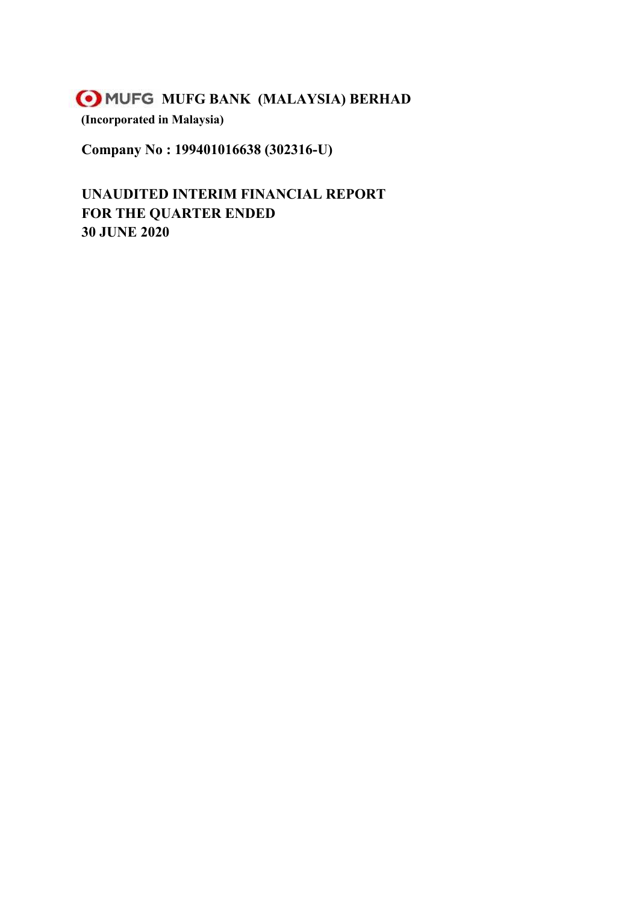**Company No : 199401016638 (302316-U)**

**UNAUDITED INTERIM FINANCIAL REPORT FOR THE QUARTER ENDED 30 JUNE 2020**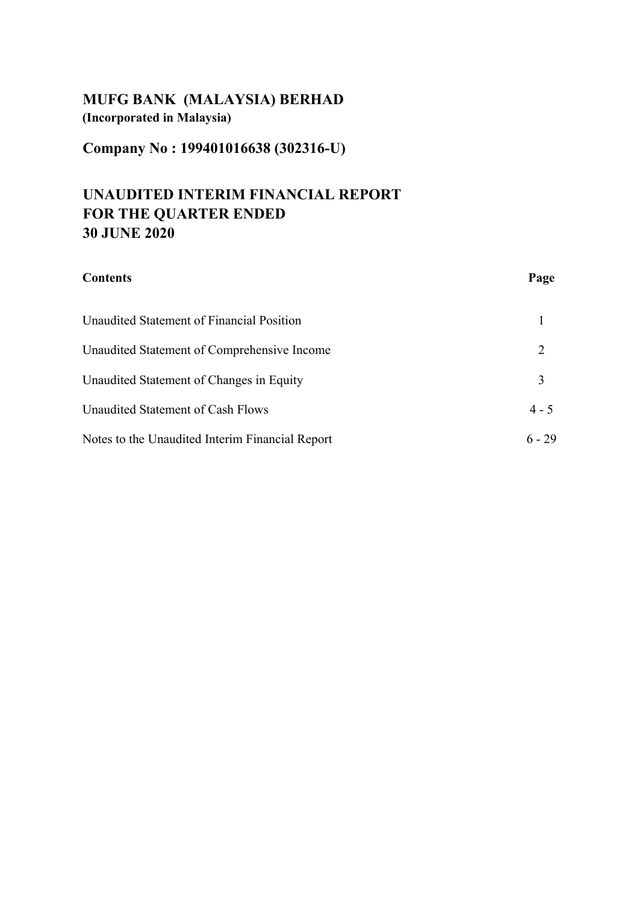**Company No : 199401016638 (302316-U)**

# **UNAUDITED INTERIM FINANCIAL REPORT FOR THE QUARTER ENDED 30 JUNE 2020**

| <b>Contents</b>                                 | Page     |
|-------------------------------------------------|----------|
| Unaudited Statement of Financial Position       |          |
| Unaudited Statement of Comprehensive Income     | 2        |
| Unaudited Statement of Changes in Equity        | 3        |
| Unaudited Statement of Cash Flows               | $4 - 5$  |
| Notes to the Unaudited Interim Financial Report | $6 - 29$ |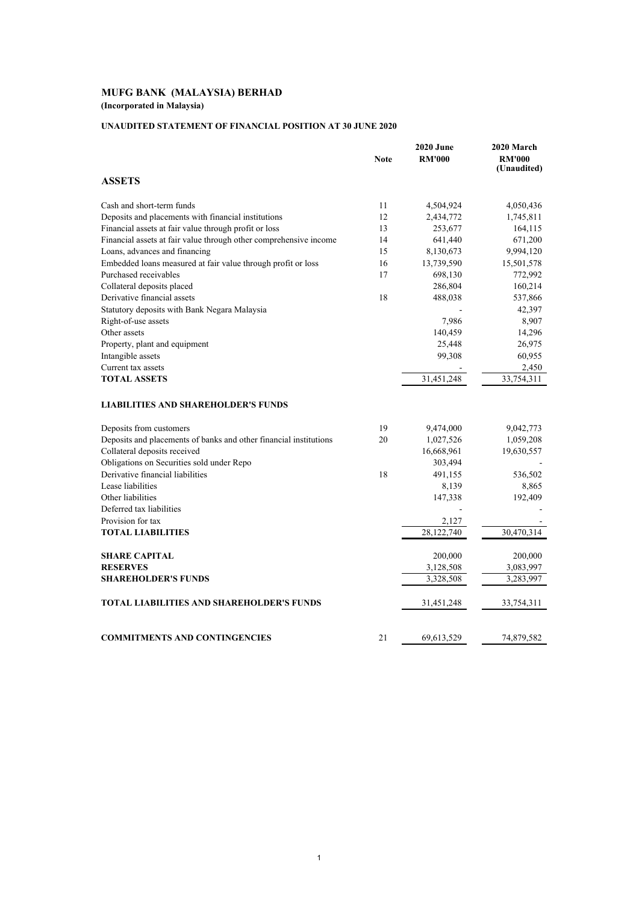## **UNAUDITED STATEMENT OF FINANCIAL POSITION AT 30 JUNE 2020**

|                                                                   | <b>Note</b> | <b>2020 June</b><br><b>RM'000</b> | 2020 March<br><b>RM'000</b><br>(Unaudited) |
|-------------------------------------------------------------------|-------------|-----------------------------------|--------------------------------------------|
| <b>ASSETS</b>                                                     |             |                                   |                                            |
| Cash and short-term funds                                         | 11          | 4,504,924                         | 4,050,436                                  |
| Deposits and placements with financial institutions               | 12          | 2,434,772                         | 1,745,811                                  |
| Financial assets at fair value through profit or loss             | 13          | 253,677                           | 164,115                                    |
| Financial assets at fair value through other comprehensive income | 14          | 641,440                           | 671,200                                    |
| Loans, advances and financing                                     | 15          | 8,130,673                         | 9,994,120                                  |
| Embedded loans measured at fair value through profit or loss      | 16          | 13,739,590                        | 15,501,578                                 |
| Purchased receivables                                             | 17          | 698,130                           | 772,992                                    |
| Collateral deposits placed                                        |             | 286,804                           | 160,214                                    |
| Derivative financial assets                                       | 18          | 488,038                           | 537,866                                    |
| Statutory deposits with Bank Negara Malaysia                      |             |                                   | 42,397                                     |
| Right-of-use assets                                               |             | 7,986                             | 8,907                                      |
| Other assets                                                      |             | 140,459                           | 14,296                                     |
| Property, plant and equipment                                     |             | 25,448                            | 26,975                                     |
| Intangible assets                                                 |             | 99,308                            | 60,955                                     |
| Current tax assets                                                |             |                                   | 2,450                                      |
| <b>TOTAL ASSETS</b>                                               |             | 31,451,248                        | 33,754,311                                 |
| <b>LIABILITIES AND SHAREHOLDER'S FUNDS</b>                        |             |                                   |                                            |
| Deposits from customers                                           | 19          | 9,474,000                         | 9,042,773                                  |
| Deposits and placements of banks and other financial institutions | 20          | 1,027,526                         | 1,059,208                                  |
| Collateral deposits received                                      |             | 16,668,961                        | 19,630,557                                 |
| Obligations on Securities sold under Repo                         |             | 303,494                           |                                            |
| Derivative financial liabilities                                  | 18          | 491,155                           | 536,502                                    |
| Lease liabilities                                                 |             | 8,139                             | 8,865                                      |
| Other liabilities                                                 |             | 147,338                           | 192,409                                    |
| Deferred tax liabilities                                          |             |                                   |                                            |
| Provision for tax                                                 |             | 2,127                             |                                            |
| <b>TOTAL LIABILITIES</b>                                          |             | 28,122,740                        | 30,470,314                                 |
| <b>SHARE CAPITAL</b>                                              |             | 200,000                           | 200,000                                    |
| <b>RESERVES</b>                                                   |             | 3,128,508                         | 3,083,997                                  |
| <b>SHAREHOLDER'S FUNDS</b>                                        |             | 3,328,508                         | 3,283,997                                  |
| <b>TOTAL LIABILITIES AND SHAREHOLDER'S FUNDS</b>                  |             | 31,451,248                        | 33,754,311                                 |
| <b>COMMITMENTS AND CONTINGENCIES</b>                              | 21          | 69,613,529                        | 74,879,582                                 |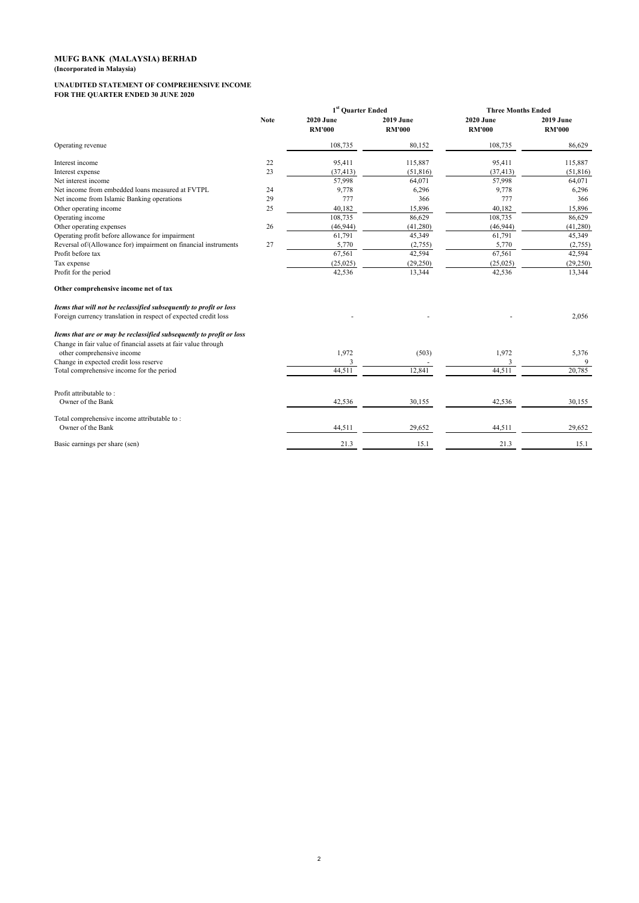#### **UNAUDITED STATEMENT OF COMPREHENSIVE INCOME FOR THE QUARTER ENDED 30 JUNE 2020**

|                                                                      |             | 1 <sup>st</sup> Ouarter Ended     |                                   | <b>Three Months Ended</b>         |                                   |
|----------------------------------------------------------------------|-------------|-----------------------------------|-----------------------------------|-----------------------------------|-----------------------------------|
|                                                                      | <b>Note</b> | <b>2020 June</b><br><b>RM'000</b> | <b>2019 June</b><br><b>RM'000</b> | <b>2020 June</b><br><b>RM'000</b> | <b>2019 June</b><br><b>RM'000</b> |
| Operating revenue                                                    |             | 108,735                           | 80,152                            | 108,735                           | 86,629                            |
| Interest income                                                      | 22          | 95,411                            | 115,887                           | 95,411                            | 115,887                           |
| Interest expense                                                     | 23          | (37, 413)                         | (51, 816)                         | (37, 413)                         | (51, 816)                         |
| Net interest income                                                  |             | 57,998                            | 64,071                            | 57,998                            | 64,071                            |
| Net income from embedded loans measured at FVTPL                     | 24          | 9,778                             | 6,296                             | 9,778                             | 6,296                             |
| Net income from Islamic Banking operations                           | 29          | 777                               | 366                               | 777                               | 366                               |
| Other operating income                                               | 25          | 40,182                            | 15,896                            | 40,182                            | 15,896                            |
| Operating income                                                     |             | 108,735                           | 86,629                            | 108,735                           | 86,629                            |
| Other operating expenses                                             | 26          | (46, 944)                         | (41, 280)                         | (46, 944)                         | (41, 280)                         |
| Operating profit before allowance for impairment                     |             | 61,791                            | 45,349                            | 61,791                            | 45,349                            |
| Reversal of/(Allowance for) impairment on financial instruments      | 27          | 5,770                             | (2,755)                           | 5,770                             | (2,755)                           |
| Profit before tax                                                    |             | 67,561                            | 42,594                            | 67,561                            | 42,594                            |
| Tax expense                                                          |             | (25, 025)                         | (29, 250)                         | (25, 025)                         | (29, 250)                         |
| Profit for the period                                                |             | 42,536                            | 13,344                            | 42,536                            | 13,344                            |
| Other comprehensive income net of tax                                |             |                                   |                                   |                                   |                                   |
| Items that will not be reclassified subsequently to profit or loss   |             |                                   |                                   |                                   |                                   |
| Foreign currency translation in respect of expected credit loss      |             |                                   |                                   |                                   | 2,056                             |
| Items that are or may be reclassified subsequently to profit or loss |             |                                   |                                   |                                   |                                   |
| Change in fair value of financial assets at fair value through       |             |                                   |                                   |                                   |                                   |
| other comprehensive income                                           |             | 1,972                             | (503)                             | 1,972                             | 5,376                             |
| Change in expected credit loss reserve                               |             | 3                                 |                                   | 3                                 | 9                                 |
| Total comprehensive income for the period                            |             | 44,511                            | 12,841                            | 44,511                            | 20,785                            |
| Profit attributable to:                                              |             |                                   |                                   |                                   |                                   |
| Owner of the Bank                                                    |             | 42,536                            | 30,155                            | 42,536                            | 30,155                            |
| Total comprehensive income attributable to:                          |             |                                   |                                   |                                   |                                   |
| Owner of the Bank                                                    |             | 44,511                            | 29,652                            | 44,511                            | 29,652                            |
| Basic earnings per share (sen)                                       |             | 21.3                              | 15.1                              | 21.3                              | 15.1                              |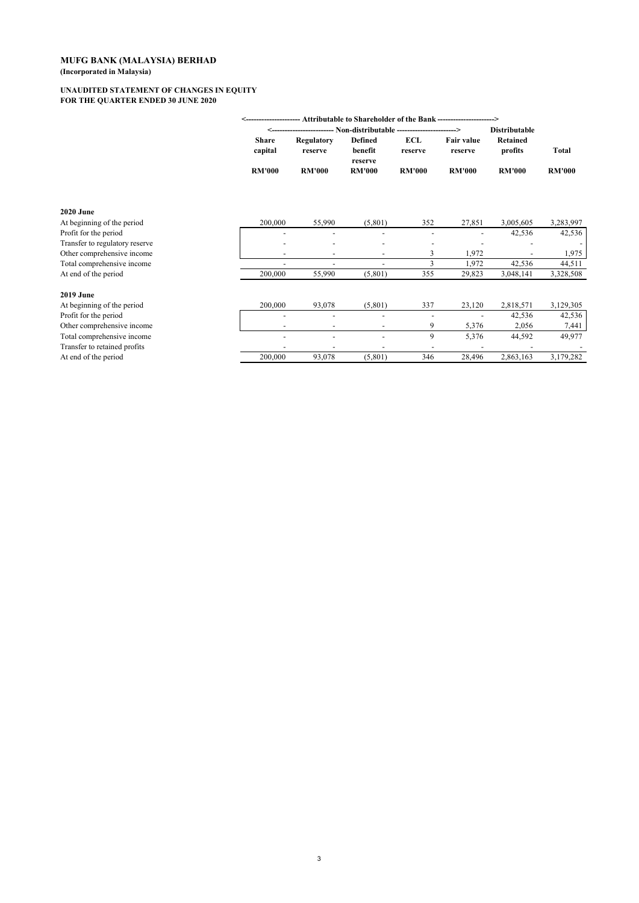#### **UNAUDITED STATEMENT OF CHANGES IN EQUITY FOR THE QUARTER ENDED 30 JUNE 2020**

|                                | Attributable to Shareholder of the Bank ----------------- |               |                |               |                   |                      |               |
|--------------------------------|-----------------------------------------------------------|---------------|----------------|---------------|-------------------|----------------------|---------------|
|                                |                                                           |               |                |               | -->               | <b>Distributable</b> |               |
|                                | <b>Share</b>                                              | Regulatory    | <b>Defined</b> | ECL           | <b>Fair value</b> | Retained             |               |
|                                | capital                                                   | reserve       | benefit        | reserve       | reserve           | profits              | Total         |
|                                |                                                           |               | reserve        |               |                   |                      |               |
|                                | <b>RM'000</b>                                             | <b>RM'000</b> | <b>RM'000</b>  | <b>RM'000</b> | <b>RM'000</b>     | <b>RM'000</b>        | <b>RM'000</b> |
|                                |                                                           |               |                |               |                   |                      |               |
| <b>2020 June</b>               |                                                           |               |                |               |                   |                      |               |
| At beginning of the period     | 200,000                                                   | 55,990        | (5,801)        | 352           | 27,851            | 3,005,605            | 3,283,997     |
| Profit for the period          |                                                           |               |                |               |                   | 42,536               | 42,536        |
| Transfer to regulatory reserve |                                                           |               |                |               |                   |                      |               |
| Other comprehensive income     |                                                           |               |                | 3             | 1,972             |                      | 1,975         |
| Total comprehensive income     |                                                           |               |                | 3             | 1,972             | 42,536               | 44,511        |
| At end of the period           | 200,000                                                   | 55,990        | (5,801)        | 355           | 29,823            | 3,048,141            | 3,328,508     |
| <b>2019 June</b>               |                                                           |               |                |               |                   |                      |               |
| At beginning of the period     | 200,000                                                   | 93,078        | (5,801)        | 337           | 23,120            | 2,818,571            | 3,129,305     |
| Profit for the period          |                                                           |               |                |               |                   | 42,536               | 42,536        |
| Other comprehensive income     |                                                           |               |                | 9             | 5,376             | 2,056                | 7,441         |
| Total comprehensive income     |                                                           |               |                | 9             | 5,376             | 44,592               | 49,977        |
| Transfer to retained profits   |                                                           |               |                |               |                   |                      |               |
| At end of the period           | 200,000                                                   | 93,078        | (5,801)        | 346           | 28,496            | 2,863,163            | 3,179,282     |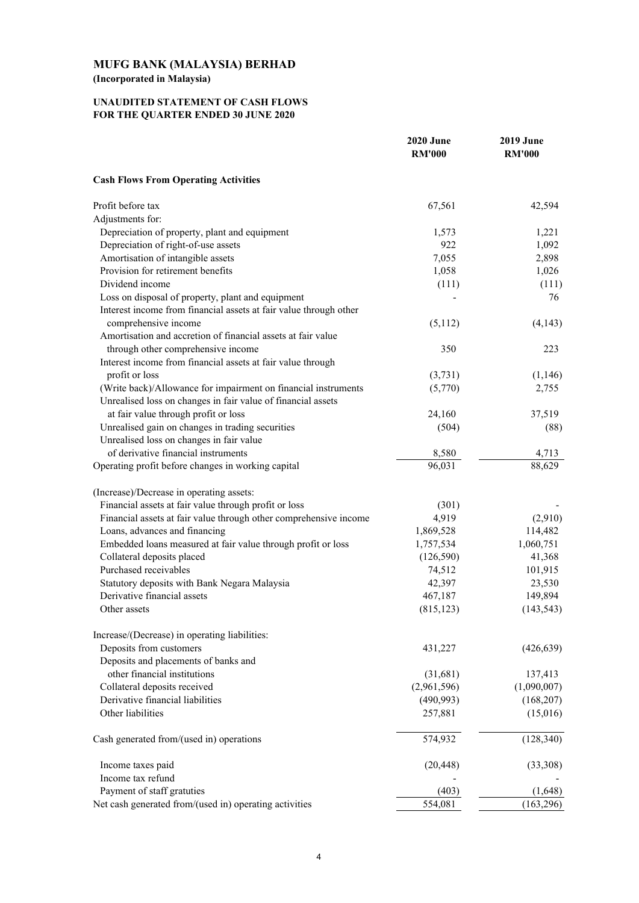# **UNAUDITED STATEMENT OF CASH FLOWS FOR THE QUARTER ENDED 30 JUNE 2020**

|                                                                   | <b>2020 June</b><br><b>RM'000</b> | <b>2019 June</b><br><b>RM'000</b> |
|-------------------------------------------------------------------|-----------------------------------|-----------------------------------|
| <b>Cash Flows From Operating Activities</b>                       |                                   |                                   |
| Profit before tax                                                 | 67,561                            | 42,594                            |
| Adjustments for:                                                  |                                   |                                   |
| Depreciation of property, plant and equipment                     | 1,573                             | 1,221                             |
| Depreciation of right-of-use assets                               | 922                               | 1,092                             |
| Amortisation of intangible assets                                 | 7,055                             | 2,898                             |
| Provision for retirement benefits                                 | 1,058                             | 1,026                             |
| Dividend income                                                   | (111)                             | (111)                             |
| Loss on disposal of property, plant and equipment                 |                                   | 76                                |
| Interest income from financial assets at fair value through other |                                   |                                   |
| comprehensive income                                              | (5,112)                           | (4,143)                           |
| Amortisation and accretion of financial assets at fair value      |                                   |                                   |
| through other comprehensive income                                | 350                               | 223                               |
| Interest income from financial assets at fair value through       |                                   |                                   |
| profit or loss                                                    | (3,731)                           | (1,146)                           |
| (Write back)/Allowance for impairment on financial instruments    | (5,770)                           | 2,755                             |
| Unrealised loss on changes in fair value of financial assets      |                                   |                                   |
| at fair value through profit or loss                              | 24,160                            | 37,519                            |
| Unrealised gain on changes in trading securities                  | (504)                             | (88)                              |
| Unrealised loss on changes in fair value                          |                                   |                                   |
| of derivative financial instruments                               | 8,580                             | 4,713                             |
| Operating profit before changes in working capital                | 96,031                            | 88,629                            |
| (Increase)/Decrease in operating assets:                          |                                   |                                   |
| Financial assets at fair value through profit or loss             | (301)                             |                                   |
| Financial assets at fair value through other comprehensive income | 4,919                             | (2,910)                           |
| Loans, advances and financing                                     | 1,869,528                         | 114,482                           |
| Embedded loans measured at fair value through profit or loss      | 1,757,534                         | 1,060,751                         |
| Collateral deposits placed                                        | (126, 590)                        | 41,368                            |
| Purchased receivables                                             | 74,512                            | 101,915                           |
| Statutory deposits with Bank Negara Malaysia                      | 42,397                            | 23,530                            |
| Derivative financial assets                                       | 467,187                           | 149,894                           |
| Other assets                                                      | (815, 123)                        | (143, 543)                        |
|                                                                   |                                   |                                   |
| Increase/(Decrease) in operating liabilities:                     |                                   |                                   |
| Deposits from customers                                           | 431,227                           | (426, 639)                        |
| Deposits and placements of banks and                              |                                   |                                   |
| other financial institutions                                      | (31,681)                          | 137,413                           |
| Collateral deposits received                                      | (2,961,596)                       | (1,090,007)                       |
| Derivative financial liabilities                                  | (490, 993)                        | (168, 207)                        |
| Other liabilities                                                 | 257,881                           | (15,016)                          |
| Cash generated from/(used in) operations                          | 574,932                           | (128, 340)                        |
| Income taxes paid                                                 | (20, 448)                         | (33,308)                          |
| Income tax refund                                                 |                                   |                                   |
| Payment of staff gratuties                                        | (403)                             | (1,648)                           |
| Net cash generated from/(used in) operating activities            | 554,081                           | (163, 296)                        |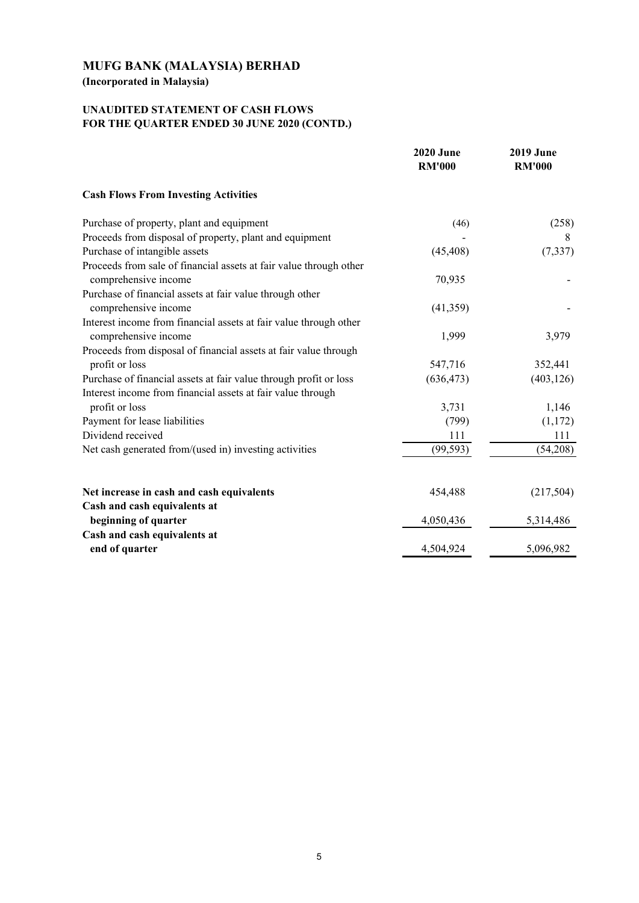**(Incorporated in Malaysia)**

# **UNAUDITED STATEMENT OF CASH FLOWS FOR THE QUARTER ENDED 30 JUNE 2020 (CONTD.)**

|                                                                    | <b>2020 June</b><br><b>RM'000</b> | <b>2019 June</b><br><b>RM'000</b> |
|--------------------------------------------------------------------|-----------------------------------|-----------------------------------|
| <b>Cash Flows From Investing Activities</b>                        |                                   |                                   |
| Purchase of property, plant and equipment                          | (46)                              | (258)                             |
| Proceeds from disposal of property, plant and equipment            |                                   | 8                                 |
| Purchase of intangible assets                                      | (45, 408)                         | (7, 337)                          |
| Proceeds from sale of financial assets at fair value through other |                                   |                                   |
| comprehensive income                                               | 70,935                            |                                   |
| Purchase of financial assets at fair value through other           |                                   |                                   |
| comprehensive income                                               | (41, 359)                         |                                   |
| Interest income from financial assets at fair value through other  |                                   |                                   |
| comprehensive income                                               | 1,999                             | 3,979                             |
| Proceeds from disposal of financial assets at fair value through   |                                   |                                   |
| profit or loss                                                     | 547,716                           | 352,441                           |
| Purchase of financial assets at fair value through profit or loss  | (636, 473)                        | (403, 126)                        |
| Interest income from financial assets at fair value through        |                                   |                                   |
| profit or loss                                                     | 3,731                             | 1,146                             |
| Payment for lease liabilities                                      | (799)                             | (1,172)                           |
| Dividend received                                                  | 111                               | 111                               |
| Net cash generated from/(used in) investing activities             | (99, 593)                         | (54,208)                          |
| Net increase in cash and cash equivalents                          | 454,488                           | (217, 504)                        |
| Cash and cash equivalents at                                       |                                   |                                   |
| beginning of quarter                                               | 4,050,436                         | 5,314,486                         |
| Cash and cash equivalents at                                       |                                   |                                   |
| end of quarter                                                     | 4,504,924                         | 5,096,982                         |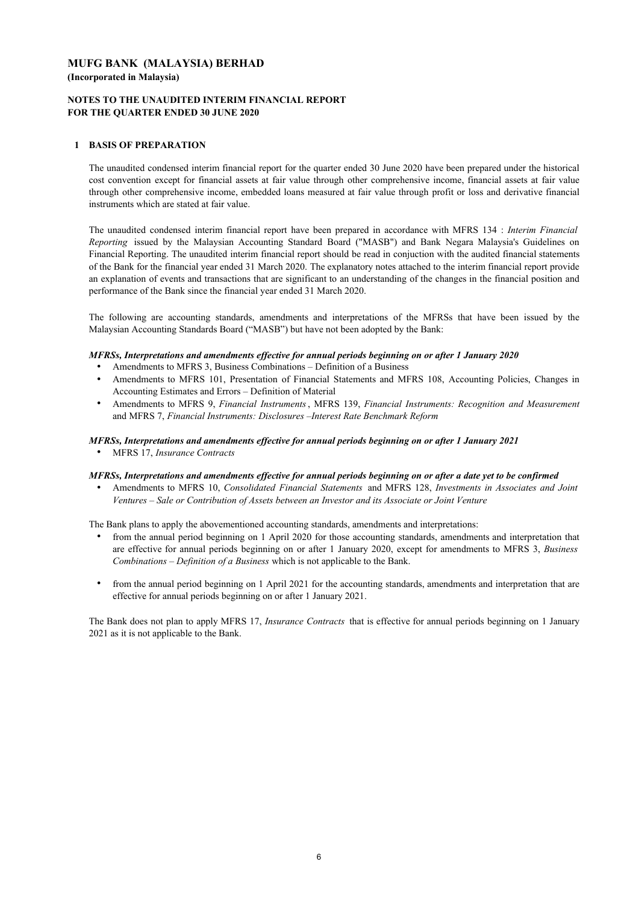## **NOTES TO THE UNAUDITED INTERIM FINANCIAL REPORT FOR THE QUARTER ENDED 30 JUNE 2020**

## **1 BASIS OF PREPARATION**

The unaudited condensed interim financial report for the quarter ended 30 June 2020 have been prepared under the historical cost convention except for financial assets at fair value through other comprehensive income, financial assets at fair value through other comprehensive income, embedded loans measured at fair value through profit or loss and derivative financial instruments which are stated at fair value.

The unaudited condensed interim financial report have been prepared in accordance with MFRS 134 : *Interim Financial Reporting* issued by the Malaysian Accounting Standard Board ("MASB") and Bank Negara Malaysia's Guidelines on Financial Reporting. The unaudited interim financial report should be read in conjuction with the audited financial statements of the Bank for the financial year ended 31 March 2020. The explanatory notes attached to the interim financial report provide an explanation of events and transactions that are significant to an understanding of the changes in the financial position and performance of the Bank since the financial year ended 31 March 2020.

The following are accounting standards, amendments and interpretations of the MFRSs that have been issued by the Malaysian Accounting Standards Board ("MASB") but have not been adopted by the Bank:

#### *MFRSs, Interpretations and amendments effective for annual periods beginning on or after 1 January 2020*

- Amendments to MFRS 3, Business Combinations Definition of a Business
- . Amendments to MFRS 101, Presentation of Financial Statements and MFRS 108, Accounting Policies, Changes in Accounting Estimates and Errors – Definition of Material
- $\bullet$ Amendments to MFRS 9, *Financial Instruments*, MFRS 139, *Financial Instruments: Recognition and Measurement* and MFRS 7, *Financial Instruments: Disclosures –Interest Rate Benchmark Reform*

#### *MFRSs, Interpretations and amendments effective for annual periods beginning on or after 1 January 2021*

MFRS 17, *Insurance Contracts*

#### *MFRSs, Interpretations and amendments effective for annual periods beginning on or after a date yet to be confirmed*

 $\bullet$ Amendments to MFRS 10, *Consolidated Financial Statements* and MFRS 128, *Investments in Associates and Joint Ventures – Sale or Contribution of Assets between an Investor and its Associate or Joint Venture*

The Bank plans to apply the abovementioned accounting standards, amendments and interpretations:

- . from the annual period beginning on 1 April 2020 for those accounting standards, amendments and interpretation that are effective for annual periods beginning on or after 1 January 2020, except for amendments to MFRS 3, *Business Combinations – Definition of a Business* which is not applicable to the Bank.
- $\bullet$ from the annual period beginning on 1 April 2021 for the accounting standards, amendments and interpretation that are effective for annual periods beginning on or after 1 January 2021.

The Bank does not plan to apply MFRS 17, *Insurance Contracts* that is effective for annual periods beginning on 1 January 2021 as it is not applicable to the Bank.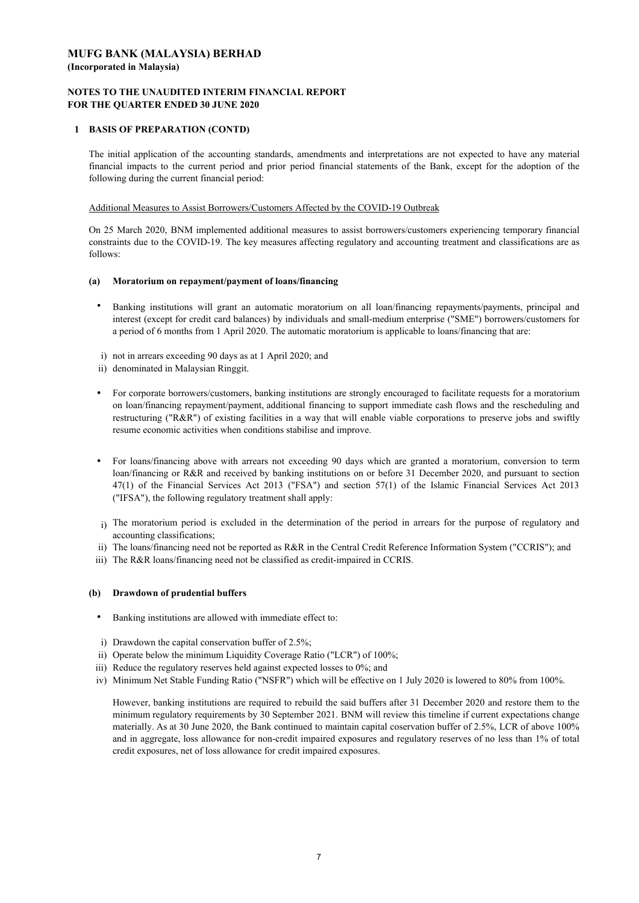### **NOTES TO THE UNAUDITED INTERIM FINANCIAL REPORT FOR THE QUARTER ENDED 30 JUNE 2020**

## **1 BASIS OF PREPARATION (CONTD)**

The initial application of the accounting standards, amendments and interpretations are not expected to have any material financial impacts to the current period and prior period financial statements of the Bank, except for the adoption of the following during the current financial period:

#### Additional Measures to Assist Borrowers/Customers Affected by the COVID-19 Outbreak

On 25 March 2020, BNM implemented additional measures to assist borrowers/customers experiencing temporary financial constraints due to the COVID-19. The key measures affecting regulatory and accounting treatment and classifications are as follows:

#### **(a) Moratorium on repayment/payment of loans/financing**

- . Banking institutions will grant an automatic moratorium on all loan/financing repayments/payments, principal and interest (except for credit card balances) by individuals and small-medium enterprise ("SME") borrowers/customers for a period of 6 months from 1 April 2020. The automatic moratorium is applicable to loans/financing that are:
- i) not in arrears exceeding 90 days as at 1 April 2020; and
- ii) denominated in Malaysian Ringgit.
- For corporate borrowers/customers, banking institutions are strongly encouraged to facilitate requests for a moratorium on loan/financing repayment/payment, additional financing to support immediate cash flows and the rescheduling and restructuring ("R&R") of existing facilities in a way that will enable viable corporations to preserve jobs and swiftly resume economic activities when conditions stabilise and improve.
- For loans/financing above with arrears not exceeding 90 days which are granted a moratorium, conversion to term loan/financing or R&R and received by banking institutions on or before 31 December 2020, and pursuant to section 47(1) of the Financial Services Act 2013 ("FSA") and section 57(1) of the Islamic Financial Services Act 2013 ("IFSA"), the following regulatory treatment shall apply:
- i) The moratorium period is excluded in the determination of the period in arrears for the purpose of regulatory and accounting classifications;
- ii) The loans/financing need not be reported as R&R in the Central Credit Reference Information System ("CCRIS"); and
- iii) The R&R loans/financing need not be classified as credit-impaired in CCRIS.

### **(b) Drawdown of prudential buffers**

- Banking institutions are allowed with immediate effect to:
- i) Drawdown the capital conservation buffer of 2.5%;
- ii) Operate below the minimum Liquidity Coverage Ratio ("LCR") of 100%;
- iii) Reduce the regulatory reserves held against expected losses to 0%; and
- iv) Minimum Net Stable Funding Ratio ("NSFR") which will be effective on 1 July 2020 is lowered to 80% from 100%.

However, banking institutions are required to rebuild the said buffers after 31 December 2020 and restore them to the minimum regulatory requirements by 30 September 2021. BNM will review this timeline if current expectations change materially. As at 30 June 2020, the Bank continued to maintain capital coservation buffer of 2.5%, LCR of above 100% and in aggregate, loss allowance for non-credit impaired exposures and regulatory reserves of no less than 1% of total credit exposures, net of loss allowance for credit impaired exposures.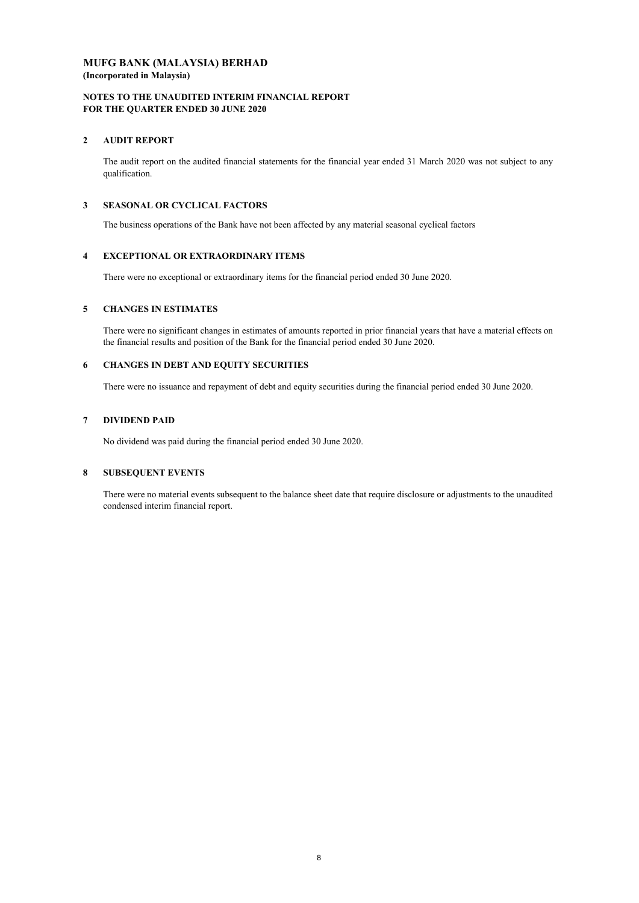#### **NOTES TO THE UNAUDITED INTERIM FINANCIAL REPORT FOR THE QUARTER ENDED 30 JUNE 2020**

## **2 AUDIT REPORT**

The audit report on the audited financial statements for the financial year ended 31 March 2020 was not subject to any qualification.

### **3 SEASONAL OR CYCLICAL FACTORS**

The business operations of the Bank have not been affected by any material seasonal cyclical factors.

## **4 EXCEPTIONAL OR EXTRAORDINARY ITEMS**

There were no exceptional or extraordinary items for the financial period ended 30 June 2020.

## **5 CHANGES IN ESTIMATES**

There were no significant changes in estimates of amounts reported in prior financial years that have a material effects on the financial results and position of the Bank for the financial period ended 30 June 2020.

## **6 CHANGES IN DEBT AND EQUITY SECURITIES**

There were no issuance and repayment of debt and equity securities during the financial period ended 30 June 2020.

## **7 DIVIDEND PAID**

No dividend was paid during the financial period ended 30 June 2020.

### **8 SUBSEQUENT EVENTS**

There were no material events subsequent to the balance sheet date that require disclosure or adjustments to the unaudited condensed interim financial report.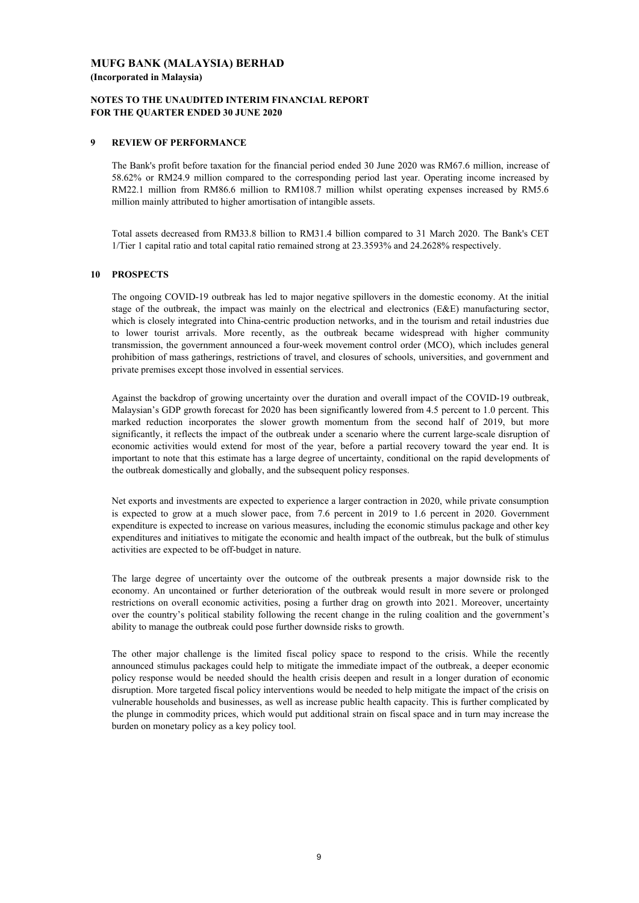## **NOTES TO THE UNAUDITED INTERIM FINANCIAL REPORT FOR THE QUARTER ENDED 30 JUNE 2020**

### **9 REVIEW OF PERFORMANCE**

The Bank's profit before taxation for the financial period ended 30 June 2020 was RM67.6 million, increase of 58.62% or RM24.9 million compared to the corresponding period last year. Operating income increased by RM22.1 million from RM86.6 million to RM108.7 million whilst operating expenses increased by RM5.6 million mainly attributed to higher amortisation of intangible assets.

Total assets decreased from RM33.8 billion to RM31.4 billion compared to 31 March 2020. The Bank's CET 1/Tier 1 capital ratio and total capital ratio remained strong at 23.3593% and 24.2628% respectively.

#### **10 PROSPECTS**

The ongoing COVID-19 outbreak has led to major negative spillovers in the domestic economy. At the initial stage of the outbreak, the impact was mainly on the electrical and electronics (E&E) manufacturing sector, which is closely integrated into China-centric production networks, and in the tourism and retail industries due to lower tourist arrivals. More recently, as the outbreak became widespread with higher community transmission, the government announced a four-week movement control order (MCO), which includes general prohibition of mass gatherings, restrictions of travel, and closures of schools, universities, and government and private premises except those involved in essential services.

Against the backdrop of growing uncertainty over the duration and overall impact of the COVID-19 outbreak, Malaysian's GDP growth forecast for 2020 has been significantly lowered from 4.5 percent to 1.0 percent. This marked reduction incorporates the slower growth momentum from the second half of 2019, but more significantly, it reflects the impact of the outbreak under a scenario where the current large-scale disruption of economic activities would extend for most of the year, before a partial recovery toward the year end. It is important to note that this estimate has a large degree of uncertainty, conditional on the rapid developments of the outbreak domestically and globally, and the subsequent policy responses.

Net exports and investments are expected to experience a larger contraction in 2020, while private consumption is expected to grow at a much slower pace, from 7.6 percent in 2019 to 1.6 percent in 2020. Government expenditure is expected to increase on various measures, including the economic stimulus package and other key expenditures and initiatives to mitigate the economic and health impact of the outbreak, but the bulk of stimulus activities are expected to be off-budget in nature.

The large degree of uncertainty over the outcome of the outbreak presents a major downside risk to the economy. An uncontained or further deterioration of the outbreak would result in more severe or prolonged restrictions on overall economic activities, posing a further drag on growth into 2021. Moreover, uncertainty over the country's political stability following the recent change in the ruling coalition and the government's ability to manage the outbreak could pose further downside risks to growth.

The other major challenge is the limited fiscal policy space to respond to the crisis. While the recently announced stimulus packages could help to mitigate the immediate impact of the outbreak, a deeper economic policy response would be needed should the health crisis deepen and result in a longer duration of economic disruption. More targeted fiscal policy interventions would be needed to help mitigate the impact of the crisis on vulnerable households and businesses, as well as increase public health capacity. This is further complicated by the plunge in commodity prices, which would put additional strain on fiscal space and in turn may increase the burden on monetary policy as a key policy tool.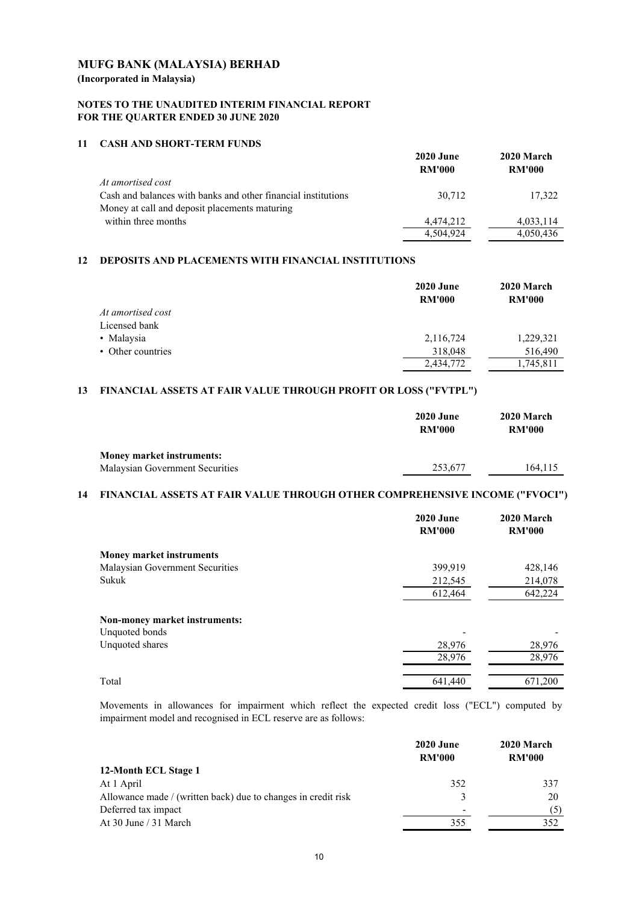**(Incorporated in Malaysia)**

## **NOTES TO THE UNAUDITED INTERIM FINANCIAL REPORT FOR THE QUARTER ENDED 30 JUNE 2020**

## **11 CASH AND SHORT-TERM FUNDS**

|                                                               | <b>2020 June</b> | 2020 March    |
|---------------------------------------------------------------|------------------|---------------|
|                                                               | <b>RM'000</b>    | <b>RM'000</b> |
| At amortised cost                                             |                  |               |
| Cash and balances with banks and other financial institutions | 30.712           | 17,322        |
| Money at call and deposit placements maturing                 |                  |               |
| within three months                                           | 4,474,212        | 4,033,114     |
|                                                               | 4,504,924        | 4,050,436     |

# **12 DEPOSITS AND PLACEMENTS WITH FINANCIAL INSTITUTIONS**

|                   | <b>2020 June</b><br><b>RM'000</b> | 2020 March<br><b>RM'000</b> |
|-------------------|-----------------------------------|-----------------------------|
| At amortised cost |                                   |                             |
| Licensed bank     |                                   |                             |
| • Malaysia        | 2,116,724                         | 1,229,321                   |
| • Other countries | 318,048                           | 516,490                     |
|                   | 2,434,772                         | 1,745,811                   |

## **13 FINANCIAL ASSETS AT FAIR VALUE THROUGH PROFIT OR LOSS ("FVTPL")**

|                                  | <b>2020 June</b><br><b>RM'000</b> | 2020 March<br><b>RM'000</b> |
|----------------------------------|-----------------------------------|-----------------------------|
| <b>Money market instruments:</b> |                                   |                             |
| Malaysian Government Securities  | 253,677                           | 164.115                     |

## **14 FINANCIAL ASSETS AT FAIR VALUE THROUGH OTHER COMPREHENSIVE INCOME ("FVOCI")**

|                                 | <b>2020 June</b><br><b>RM'000</b> | 2020 March<br><b>RM'000</b> |
|---------------------------------|-----------------------------------|-----------------------------|
| <b>Money market instruments</b> |                                   |                             |
| Malaysian Government Securities | 399,919                           | 428,146                     |
| Sukuk                           | 212,545                           | 214,078                     |
|                                 | 612,464                           | 642,224                     |
| Non-money market instruments:   |                                   |                             |
| Unquoted bonds                  |                                   |                             |
| Unquoted shares                 | 28,976                            | 28,976                      |
|                                 | 28,976                            | 28,976                      |
| Total                           | 641,440                           | 671.200                     |

Movements in allowances for impairment which reflect the expected credit loss ("ECL") computed by impairment model and recognised in ECL reserve are as follows:

| <b>2020 June</b><br><b>RM'000</b> | 2020 March<br><b>RM'000</b> |
|-----------------------------------|-----------------------------|
|                                   |                             |
| 352                               | 337                         |
| $\mathbf{R}$                      | 20                          |
| $\overline{\phantom{0}}$          | (5)                         |
| 355                               | 352                         |
|                                   |                             |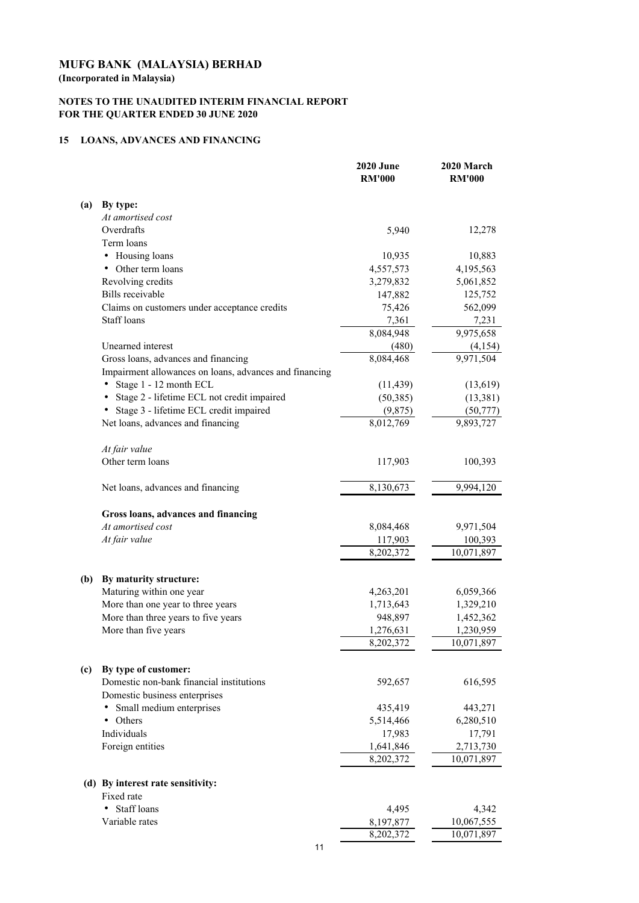**(Incorporated in Malaysia)**

# **NOTES TO THE UNAUDITED INTERIM FINANCIAL REPORT FOR THE QUARTER ENDED 30 JUNE 2020**

# **15 LOANS, ADVANCES AND FINANCING**

|     |                                                                           | <b>2020 June</b><br><b>RM'000</b> | 2020 March<br><b>RM'000</b> |
|-----|---------------------------------------------------------------------------|-----------------------------------|-----------------------------|
| (a) | By type:                                                                  |                                   |                             |
|     | At amortised cost                                                         |                                   |                             |
|     | Overdrafts                                                                | 5,940                             | 12,278                      |
|     | Term loans                                                                |                                   |                             |
|     | Housing loans                                                             | 10,935                            | 10,883                      |
|     | Other term loans                                                          | 4,557,573                         | 4,195,563                   |
|     | Revolving credits                                                         | 3,279,832                         | 5,061,852                   |
|     | <b>Bills</b> receivable                                                   | 147,882                           | 125,752                     |
|     | Claims on customers under acceptance credits                              | 75,426                            | 562,099                     |
|     | Staff loans                                                               | 7,361                             | 7,231                       |
|     |                                                                           | 8,084,948                         | 9,975,658                   |
|     | Unearned interest                                                         | (480)                             | (4,154)                     |
|     | Gross loans, advances and financing                                       | 8,084,468                         | 9,971,504                   |
|     | Impairment allowances on loans, advances and financing                    |                                   |                             |
|     | Stage 1 - 12 month ECL                                                    | (11, 439)                         | (13,619)                    |
|     | Stage 2 - lifetime ECL not credit impaired                                | (50, 385)                         | (13, 381)                   |
|     | Stage 3 - lifetime ECL credit impaired                                    | (9,875)                           | (50, 777)                   |
|     | Net loans, advances and financing                                         | 8,012,769                         | 9,893,727                   |
|     | At fair value                                                             |                                   |                             |
|     | Other term loans                                                          | 117,903                           | 100,393                     |
|     | Net loans, advances and financing                                         | 8,130,673                         | 9,994,120                   |
|     | Gross loans, advances and financing                                       |                                   |                             |
|     | At amortised cost                                                         | 8,084,468                         | 9,971,504                   |
|     | At fair value                                                             | 117,903                           | 100,393                     |
|     |                                                                           | 8,202,372                         | 10,071,897                  |
| (b) | By maturity structure:                                                    |                                   |                             |
|     | Maturing within one year                                                  | 4,263,201                         | 6,059,366                   |
|     | More than one year to three years                                         | 1,713,643                         | 1,329,210                   |
|     | More than three years to five years                                       | 948,897                           | 1,452,362                   |
|     | More than five years                                                      | 1,276,631                         | 1,230,959                   |
|     |                                                                           | 8,202,372                         | 10,071,897                  |
| (c) | By type of customer:                                                      |                                   |                             |
|     | Domestic non-bank financial institutions<br>Domestic business enterprises | 592,657                           | 616,595                     |
|     | Small medium enterprises<br>٠                                             | 435,419                           | 443,271                     |
|     | Others<br>٠                                                               | 5,514,466                         | 6,280,510                   |
|     | Individuals                                                               | 17,983                            | 17,791                      |
|     | Foreign entities                                                          | 1,641,846                         | 2,713,730                   |
|     |                                                                           | 8,202,372                         | 10,071,897                  |
|     | (d) By interest rate sensitivity:                                         |                                   |                             |
|     | Fixed rate                                                                |                                   |                             |
|     | Staff loans                                                               | 4,495                             | 4,342                       |
|     | Variable rates                                                            | 8,197,877                         | 10,067,555                  |
|     |                                                                           | 8,202,372                         | 10,071,897                  |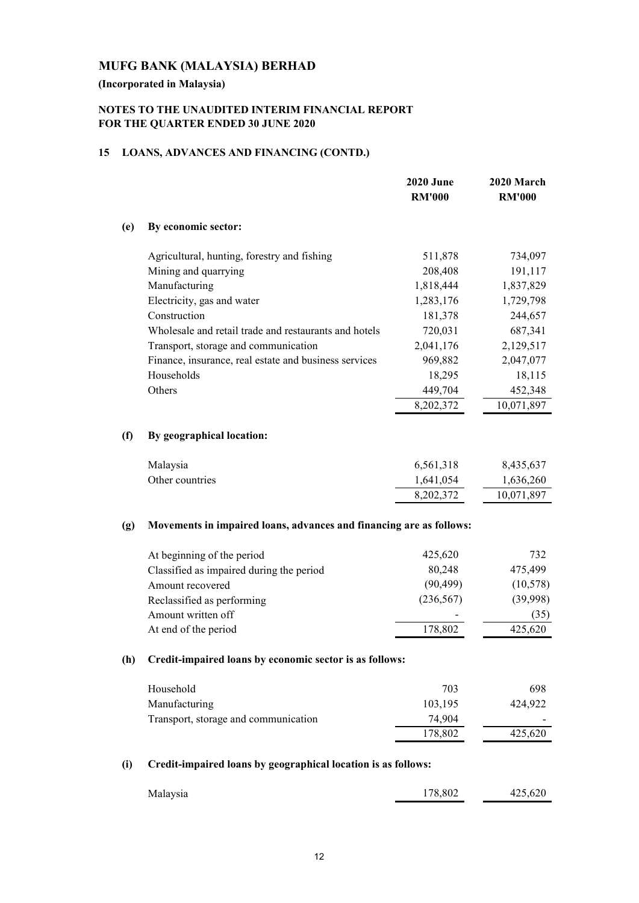# **(Incorporated in Malaysia)**

# **NOTES TO THE UNAUDITED INTERIM FINANCIAL REPORT FOR THE QUARTER ENDED 30 JUNE 2020**

# **15 LOANS, ADVANCES AND FINANCING (CONTD.)**

|     |                                                                     | <b>2020 June</b><br><b>RM'000</b> | 2020 March<br><b>RM'000</b> |
|-----|---------------------------------------------------------------------|-----------------------------------|-----------------------------|
| (e) | By economic sector:                                                 |                                   |                             |
|     | Agricultural, hunting, forestry and fishing                         | 511,878                           | 734,097                     |
|     | Mining and quarrying                                                | 208,408                           | 191,117                     |
|     | Manufacturing                                                       | 1,818,444                         | 1,837,829                   |
|     | Electricity, gas and water                                          | 1,283,176                         | 1,729,798                   |
|     | Construction                                                        | 181,378                           | 244,657                     |
|     | Wholesale and retail trade and restaurants and hotels               | 720,031                           | 687,341                     |
|     | Transport, storage and communication                                | 2,041,176                         | 2,129,517                   |
|     | Finance, insurance, real estate and business services               | 969,882                           | 2,047,077                   |
|     | Households                                                          | 18,295                            | 18,115                      |
|     | Others                                                              | 449,704                           | 452,348                     |
|     |                                                                     | 8,202,372                         | 10,071,897                  |
| (f) | By geographical location:                                           |                                   |                             |
|     | Malaysia                                                            | 6,561,318                         | 8,435,637                   |
|     | Other countries                                                     | 1,641,054                         | 1,636,260                   |
|     |                                                                     | 8,202,372                         | 10,071,897                  |
| (g) | Movements in impaired loans, advances and financing are as follows: |                                   |                             |
|     | At beginning of the period                                          | 425,620                           | 732                         |
|     | Classified as impaired during the period                            | 80,248                            | 475,499                     |
|     | Amount recovered                                                    | (90, 499)                         | (10, 578)                   |
|     | Reclassified as performing                                          | (236, 567)                        | (39,998)                    |
|     | Amount written off                                                  |                                   | (35)                        |
|     | At end of the period                                                | 178,802                           | 425,620                     |
| (h) | Credit-impaired loans by economic sector is as follows:             |                                   |                             |
|     | Household                                                           | 703                               | 698                         |
|     | Manufacturing                                                       | 103,195                           | 424,922                     |
|     | Transport, storage and communication                                | 74,904                            |                             |
|     |                                                                     | 178,802                           | 425,620                     |
| (i) | Credit-impaired loans by geographical location is as follows:       |                                   |                             |

| Malaysia | 178,802 | 425,620 |
|----------|---------|---------|
|          |         |         |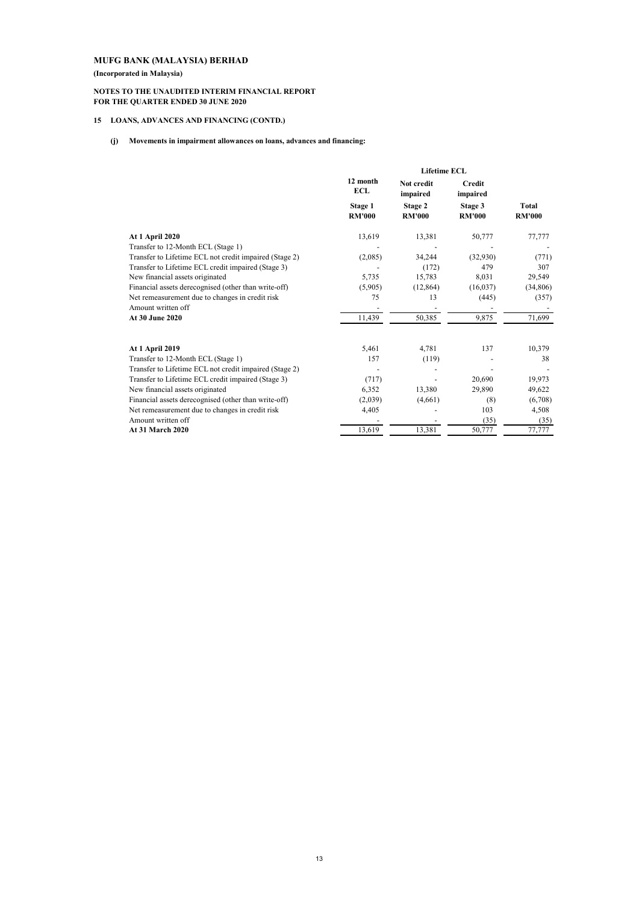**(Incorporated in Malaysia)**

#### **NOTES TO THE UNAUDITED INTERIM FINANCIAL REPORT FOR THE QUARTER ENDED 30 JUNE 2020**

#### **15 LOANS, ADVANCES AND FINANCING (CONTD.)**

#### **(j) Movements in impairment allowances on loans, advances and financing:**

|                                                        | <b>Lifetime ECL</b>      |                          |                           |                        |
|--------------------------------------------------------|--------------------------|--------------------------|---------------------------|------------------------|
|                                                        | 12 month<br><b>ECL</b>   | Not credit<br>impaired   | <b>Credit</b><br>impaired |                        |
|                                                        | Stage 1<br><b>RM'000</b> | Stage 2<br><b>RM'000</b> | Stage 3<br><b>RM'000</b>  | Total<br><b>RM'000</b> |
| <b>At 1 April 2020</b>                                 | 13,619                   | 13,381                   | 50,777                    | 77,777                 |
| Transfer to 12-Month ECL (Stage 1)                     |                          |                          |                           |                        |
| Transfer to Lifetime ECL not credit impaired (Stage 2) | (2,085)                  | 34,244                   | (32,930)                  | (771)                  |
| Transfer to Lifetime ECL credit impaired (Stage 3)     |                          | (172)                    | 479                       | 307                    |
| New financial assets originated                        | 5,735                    | 15,783                   | 8,031                     | 29,549                 |
| Financial assets derecognised (other than write-off)   | (5,905)                  | (12, 864)                | (16,037)                  | (34,806)               |
| Net remeasurement due to changes in credit risk        | 75                       | 13                       | (445)                     | (357)                  |
| Amount written off                                     |                          |                          |                           |                        |
| At 30 June 2020                                        | 11,439                   | 50,385                   | 9,875                     | 71,699                 |
| <b>At 1 April 2019</b>                                 | 5,461                    | 4,781                    | 137                       | 10,379                 |
| Transfer to 12-Month ECL (Stage 1)                     | 157                      | (119)                    |                           | 38                     |
| Transfer to Lifetime ECL not credit impaired (Stage 2) |                          |                          |                           |                        |
| Transfer to Lifetime ECL credit impaired (Stage 3)     | (717)                    |                          | 20,690                    | 19,973                 |
| New financial assets originated                        | 6,352                    | 13,380                   | 29,890                    | 49,622                 |
| Financial assets derecognised (other than write-off)   | (2,039)                  | (4,661)                  | (8)                       | (6,708)                |
| Net remeasurement due to changes in credit risk        | 4,405                    |                          | 103                       | 4,508                  |
| Amount written off                                     |                          |                          | (35)                      | (35)                   |
| <b>At 31 March 2020</b>                                | 13,619                   | 13,381                   | 50,777                    | 77,777                 |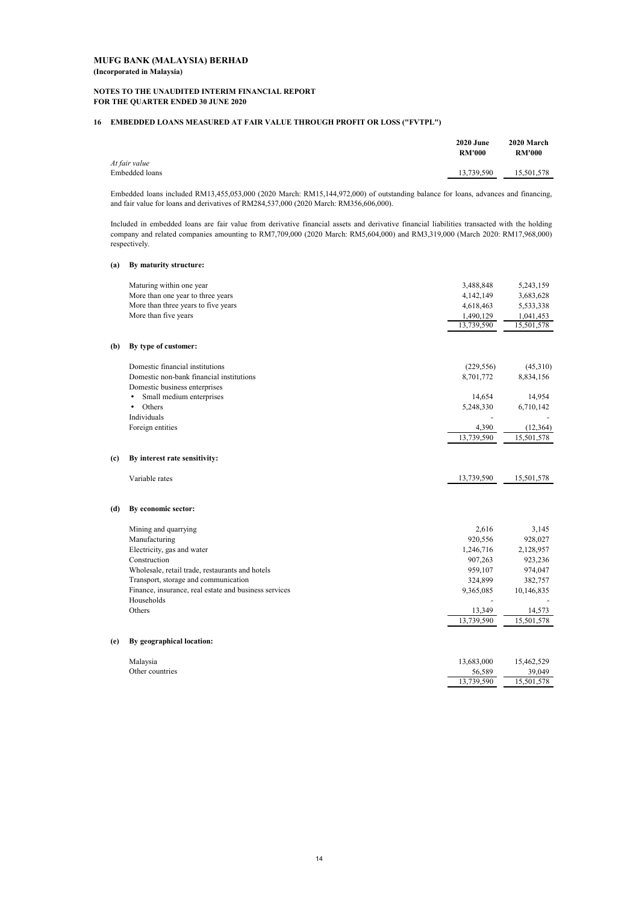#### **NOTES TO THE UNAUDITED INTERIM FINANCIAL REPORT FOR THE QUARTER ENDED 30 JUNE 2020**

## **16 EMBEDDED LOANS MEASURED AT FAIR VALUE THROUGH PROFIT OR LOSS ("FVTPL")**

|                | <b>2020 June</b><br><b>RM'000</b> | 2020 March<br><b>RM'000</b> |
|----------------|-----------------------------------|-----------------------------|
| At fair value  |                                   |                             |
| Embedded loans | 13,739,590                        | 15.501.578                  |
|                |                                   |                             |

Embedded loans included RM13,455,053,000 (2020 March: RM15,144,972,000) of outstanding balance for loans, advances and financing, and fair value for loans and derivatives of RM284,537,000 (2020 March: RM356,606,000).

Included in embedded loans are fair value from derivative financial assets and derivative financial liabilities transacted with the holding company and related companies amounting to RM7,709,000 (2020 March: RM5,604,000) and RM3,319,000 (March 2020: RM17,968,000) respectively.

#### **(a) By maturity structure:**

|     | Maturing within one year                              | 3,488,848  | 5,243,159  |
|-----|-------------------------------------------------------|------------|------------|
|     | More than one year to three years                     | 4,142,149  | 3,683,628  |
|     | More than three years to five years                   | 4,618,463  | 5,533,338  |
|     | More than five years                                  | 1,490,129  | 1,041,453  |
|     |                                                       | 13,739,590 | 15,501,578 |
| (b) | By type of customer:                                  |            |            |
|     | Domestic financial institutions                       | (229, 556) | (45,310)   |
|     | Domestic non-bank financial institutions              | 8,701,772  | 8,834,156  |
|     | Domestic business enterprises                         |            |            |
|     | Small medium enterprises<br>$\bullet$                 | 14,654     | 14,954     |
|     | Others<br>$\bullet$                                   | 5,248,330  | 6,710,142  |
|     | Individuals                                           |            |            |
|     | Foreign entities                                      | 4,390      | (12, 364)  |
|     |                                                       | 13,739,590 | 15,501,578 |
| (c) | By interest rate sensitivity:                         |            |            |
|     | Variable rates                                        | 13,739,590 | 15,501,578 |
| (d) | By economic sector:                                   |            |            |
|     | Mining and quarrying                                  | 2,616      | 3,145      |
|     | Manufacturing                                         | 920,556    | 928,027    |
|     | Electricity, gas and water                            | 1,246,716  | 2,128,957  |
|     | Construction                                          | 907,263    | 923,236    |
|     | Wholesale, retail trade, restaurants and hotels       | 959,107    | 974,047    |
|     | Transport, storage and communication                  | 324,899    | 382,757    |
|     | Finance, insurance, real estate and business services | 9,365,085  | 10,146,835 |
|     | Households                                            |            |            |
|     | Others                                                | 13,349     | 14,573     |
|     |                                                       | 13,739,590 | 15,501,578 |
| (e) | By geographical location:                             |            |            |
|     | Malaysia                                              | 13,683,000 | 15,462,529 |
|     | Other countries                                       | 56,589     | 39,049     |
|     |                                                       | 13,739,590 | 15,501,578 |
|     |                                                       |            |            |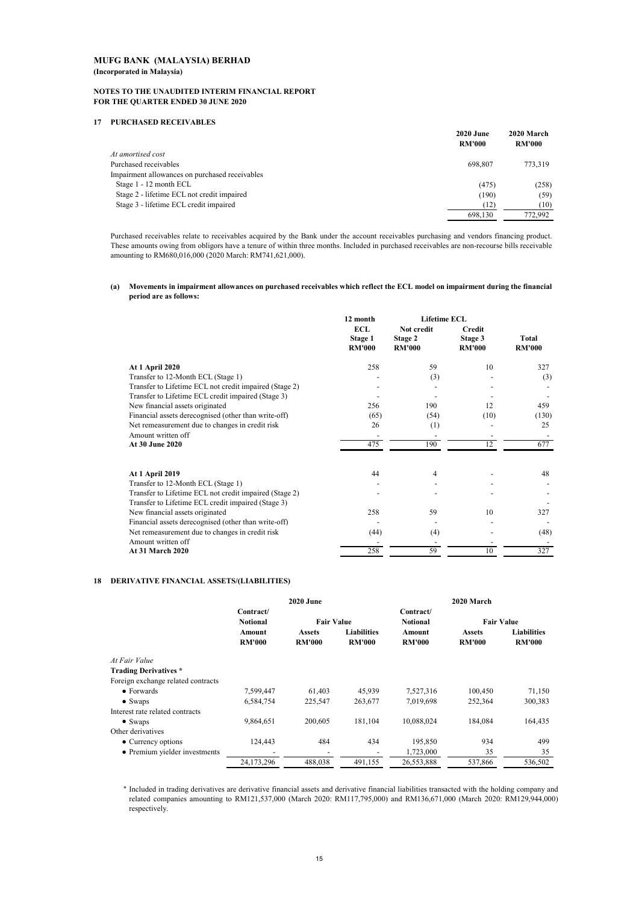#### **NOTES TO THE UNAUDITED INTERIM FINANCIAL REPORT FOR THE QUARTER ENDED 30 JUNE 2020**

#### **17 PURCHASED RECEIVABLES**

|                                                | <b>2020 June</b><br><b>RM'000</b> | 2020 March<br><b>RM'000</b> |
|------------------------------------------------|-----------------------------------|-----------------------------|
| At amortised cost                              |                                   |                             |
| Purchased receivables                          | 698.807                           | 773.319                     |
| Impairment allowances on purchased receivables |                                   |                             |
| Stage 1 - 12 month ECL                         | (475)                             | (258)                       |
| Stage 2 - lifetime ECL not credit impaired     | (190)                             | (59)                        |
| Stage 3 - lifetime ECL credit impaired         | (12)                              | (10)                        |
|                                                | 698.130                           | 772.992                     |
|                                                |                                   |                             |

Purchased receivables relate to receivables acquired by the Bank under the account receivables purchasing and vendors financing product. These amounts owing from obligors have a tenure of within three months. Included in purchased receivables are non-recourse bills receivable amounting to RM680,016,000 (2020 March: RM741,621,000).

#### **(a) Movements in impairment allowances on purchased receivables which reflect the ECL model on impairment during the financial period are as follows:**

|                                                                                                              | 12 month                               | <b>Lifetime ECL</b>                    |                                           |                        |
|--------------------------------------------------------------------------------------------------------------|----------------------------------------|----------------------------------------|-------------------------------------------|------------------------|
|                                                                                                              | <b>ECL</b><br>Stage 1<br><b>RM'000</b> | Not credit<br>Stage 2<br><b>RM'000</b> | <b>Credit</b><br>Stage 3<br><b>RM'000</b> | Total<br><b>RM'000</b> |
| At 1 April 2020                                                                                              | 258                                    | 59                                     | 10                                        | 327                    |
| Transfer to 12-Month ECL (Stage 1)                                                                           |                                        | (3)                                    |                                           | (3)                    |
| Transfer to Lifetime ECL not credit impaired (Stage 2)                                                       |                                        |                                        |                                           |                        |
| Transfer to Lifetime ECL credit impaired (Stage 3)                                                           |                                        |                                        |                                           |                        |
| New financial assets originated                                                                              | 256                                    | 190                                    | 12                                        | 459                    |
| Financial assets derecognised (other than write-off)                                                         | (65)                                   | (54)                                   | (10)                                      | (130)                  |
| Net remeasurement due to changes in credit risk                                                              | 26                                     | (1)                                    |                                           | 25                     |
| Amount written off                                                                                           | -                                      | $\overline{\phantom{a}}$               |                                           |                        |
| At 30 June 2020                                                                                              | 475                                    | 190                                    | 12                                        | 677                    |
| <b>At 1 April 2019</b>                                                                                       | 44                                     | 4                                      |                                           | 48                     |
| Transfer to 12-Month ECL (Stage 1)                                                                           |                                        |                                        |                                           |                        |
| Transfer to Lifetime ECL not credit impaired (Stage 2)<br>Transfer to Lifetime ECL credit impaired (Stage 3) |                                        |                                        |                                           |                        |
| New financial assets originated                                                                              | 258                                    | 59                                     | 10                                        | 327                    |
| Financial assets derecognised (other than write-off)                                                         |                                        |                                        |                                           |                        |
| Net remeasurement due to changes in credit risk                                                              | (44)                                   | (4)                                    |                                           | (48)                   |
| Amount written off                                                                                           |                                        |                                        |                                           |                        |
| <b>At 31 March 2020</b>                                                                                      | 258                                    | 59                                     | 10                                        | 327                    |

#### **18 DERIVATIVE FINANCIAL ASSETS/(LIABILITIES)**

|                                    | <b>2020 June</b>        |                                |                                     | 2020 March              |                                |                                     |
|------------------------------------|-------------------------|--------------------------------|-------------------------------------|-------------------------|--------------------------------|-------------------------------------|
|                                    | Contract/               |                                |                                     | Contract/               |                                |                                     |
|                                    | <b>Notional</b>         | <b>Fair Value</b>              |                                     | <b>Notional</b>         | <b>Fair Value</b>              |                                     |
|                                    | Amount<br><b>RM'000</b> | <b>Assets</b><br><b>RM'000</b> | <b>Liabilities</b><br><b>RM'000</b> | Amount<br><b>RM'000</b> | <b>Assets</b><br><b>RM'000</b> | <b>Liabilities</b><br><b>RM'000</b> |
| At Fair Value                      |                         |                                |                                     |                         |                                |                                     |
| <b>Trading Derivatives</b> *       |                         |                                |                                     |                         |                                |                                     |
| Foreign exchange related contracts |                         |                                |                                     |                         |                                |                                     |
| $\bullet$ Forwards                 | 7,599,447               | 61,403                         | 45,939                              | 7,527,316               | 100,450                        | 71,150                              |
| $\bullet$ Swaps                    | 6,584,754               | 225,547                        | 263,677                             | 7,019,698               | 252,364                        | 300,383                             |
| Interest rate related contracts    |                         |                                |                                     |                         |                                |                                     |
| $\bullet$ Swaps                    | 9.864.651               | 200,605                        | 181,104                             | 10,088,024              | 184,084                        | 164,435                             |
| Other derivatives                  |                         |                                |                                     |                         |                                |                                     |
| • Currency options                 | 124.443                 | 484                            | 434                                 | 195,850                 | 934                            | 499                                 |
| • Premium yielder investments      |                         |                                |                                     | 1,723,000               | 35                             | 35                                  |
|                                    | 24,173,296              | 488,038                        | 491,155                             | 26,553,888              | 537,866                        | 536,502                             |

\* Included in trading derivatives are derivative financial assets and derivative financial liabilities transacted with the holding company and related companies amounting to RM121,537,000 (March 2020: RM117,795,000) and RM136,671,000 (March 2020: RM129,944,000) respectively.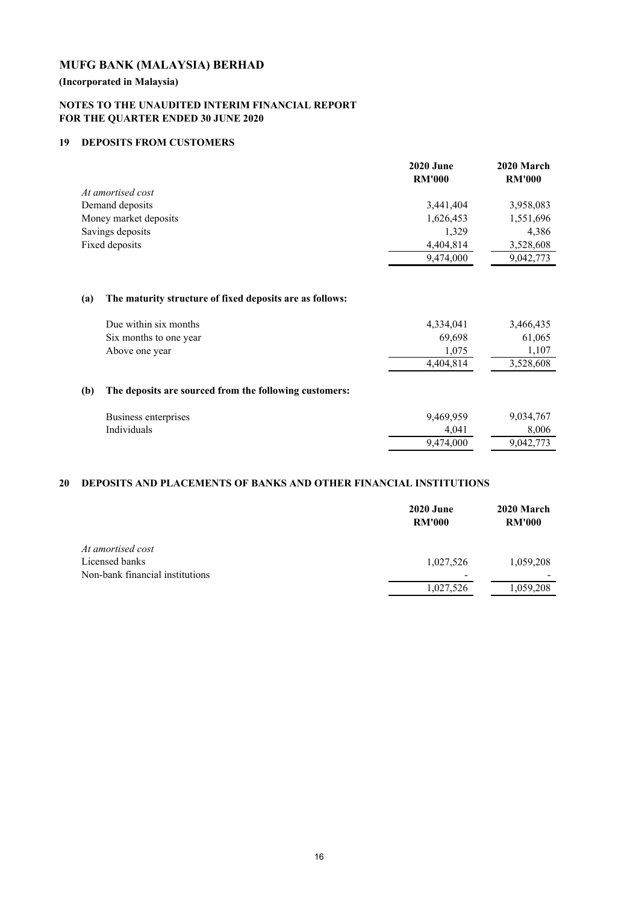**(Incorporated in Malaysia)**

# **NOTES TO THE UNAUDITED INTERIM FINANCIAL REPORT FOR THE QUARTER ENDED 30 JUNE 2020**

## **19 DEPOSITS FROM CUSTOMERS**

|                       | <b>2020 June</b> | 2020 March    |  |
|-----------------------|------------------|---------------|--|
|                       | <b>RM'000</b>    | <b>RM'000</b> |  |
| At amortised cost     |                  |               |  |
| Demand deposits       | 3,441,404        | 3,958,083     |  |
| Money market deposits | 1,626,453        | 1,551,696     |  |
| Savings deposits      | 1.329            | 4,386         |  |
| Fixed deposits        | 4,404,814        | 3,528,608     |  |
|                       | 9,474,000        | 9,042,773     |  |

## **(a) The maturity structure of fixed deposits are as follows:**

| Due within six months  | 4,334,041 | 3,466,435 |
|------------------------|-----------|-----------|
| Six months to one year | 69.698    | 61,065    |
| Above one year         | .075      | .107      |
|                        | 4,404,814 | 3,528,608 |

# **(b) The deposits are sourced from the following customers:**

| Business enterprises | 9,469,959 | 9,034,767 |
|----------------------|-----------|-----------|
| Individuals          | 4.041     | 8.006     |
|                      | 9.474,000 | 9,042,773 |

## **20 DEPOSITS AND PLACEMENTS OF BANKS AND OTHER FINANCIAL INSTITUTIONS**

|                                 | <b>2020 June</b><br><b>RM'000</b> | 2020 March<br><b>RM'000</b> |
|---------------------------------|-----------------------------------|-----------------------------|
| At amortised cost               |                                   |                             |
| Licensed banks                  | 1,027,526                         | 1,059,208                   |
| Non-bank financial institutions |                                   |                             |
|                                 | 1,027,526                         | 1,059,208                   |
|                                 |                                   |                             |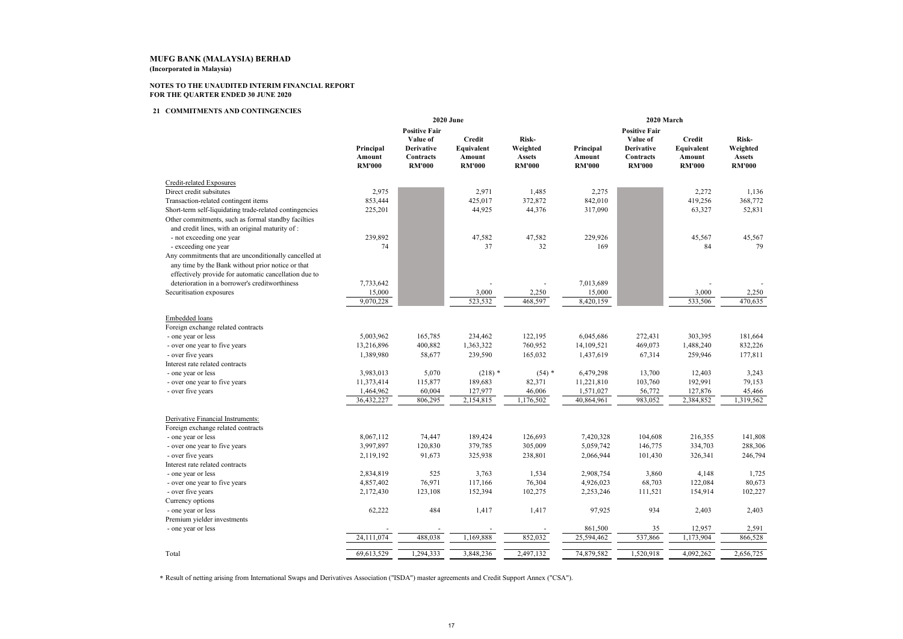**(Incorporated in Malaysia)**

#### **NOTES TO THE UNAUDITED INTERIM FINANCIAL REPORTFOR THE QUARTER ENDED 30 JUNE 2020**

#### **<sup>21</sup> COMMITMENTS AND CONTINGENCIES**

|                                                         |                                      |                                                             | <b>2020 June</b>                                       |                                                     | 2020 March                           |                                                             |                                                        |                                                     |
|---------------------------------------------------------|--------------------------------------|-------------------------------------------------------------|--------------------------------------------------------|-----------------------------------------------------|--------------------------------------|-------------------------------------------------------------|--------------------------------------------------------|-----------------------------------------------------|
|                                                         |                                      | <b>Positive Fair</b>                                        |                                                        |                                                     |                                      | <b>Positive Fair</b>                                        |                                                        |                                                     |
|                                                         | Principal<br>Amount<br><b>RM'000</b> | Value of<br><b>Derivative</b><br>Contracts<br><b>RM'000</b> | <b>Credit</b><br>Equivalent<br>Amount<br><b>RM'000</b> | Risk-<br>Weighted<br><b>Assets</b><br><b>RM'000</b> | Principal<br>Amount<br><b>RM'000</b> | Value of<br><b>Derivative</b><br>Contracts<br><b>RM'000</b> | <b>Credit</b><br>Equivalent<br>Amount<br><b>RM'000</b> | Risk-<br>Weighted<br><b>Assets</b><br><b>RM'000</b> |
| Credit-related Exposures                                |                                      |                                                             |                                                        |                                                     |                                      |                                                             |                                                        |                                                     |
| Direct credit subsitutes                                | 2,975                                |                                                             | 2,971                                                  | 1,485                                               | 2,275                                |                                                             | 2,272                                                  | 1,136                                               |
| Transaction-related contingent items                    | 853,444                              |                                                             | 425,017                                                | 372,872                                             | 842,010                              |                                                             | 419,256                                                | 368,772                                             |
| Short-term self-liquidating trade-related contingencies | 225,201                              |                                                             | 44,925                                                 | 44,376                                              | 317,090                              |                                                             | 63,327                                                 | 52,831                                              |
| Other commitments, such as formal standby facilties     |                                      |                                                             |                                                        |                                                     |                                      |                                                             |                                                        |                                                     |
| and credit lines, with an original maturity of:         |                                      |                                                             |                                                        |                                                     |                                      |                                                             |                                                        |                                                     |
| - not exceeding one year                                | 239,892                              |                                                             | 47,582                                                 | 47,582                                              | 229,926                              |                                                             | 45,567                                                 | 45,567                                              |
| - exceeding one year                                    | 74                                   |                                                             | 37                                                     | 32                                                  | 169                                  |                                                             | 84                                                     | 79                                                  |
| Any commitments that are unconditionally cancelled at   |                                      |                                                             |                                                        |                                                     |                                      |                                                             |                                                        |                                                     |
| any time by the Bank without prior notice or that       |                                      |                                                             |                                                        |                                                     |                                      |                                                             |                                                        |                                                     |
| effectively provide for automatic cancellation due to   |                                      |                                                             |                                                        |                                                     |                                      |                                                             |                                                        |                                                     |
| deterioration in a borrower's creditworthiness          | 7,733,642                            |                                                             |                                                        |                                                     | 7,013,689                            |                                                             |                                                        |                                                     |
| Securitisation exposures                                | 15,000                               |                                                             | 3,000                                                  | 2,250                                               | 15,000                               |                                                             | 3,000                                                  | 2,250                                               |
|                                                         | 9,070,228                            |                                                             | 523,532                                                | 468,597                                             | 8,420,159                            |                                                             | 533,506                                                | 470,635                                             |
|                                                         |                                      |                                                             |                                                        |                                                     |                                      |                                                             |                                                        |                                                     |
| Embedded loans                                          |                                      |                                                             |                                                        |                                                     |                                      |                                                             |                                                        |                                                     |
| Foreign exchange related contracts                      |                                      |                                                             |                                                        |                                                     |                                      |                                                             |                                                        |                                                     |
| - one year or less                                      | 5,003,962                            | 165,785                                                     | 234,462                                                | 122,195                                             | 6,045,686                            | 272,431                                                     | 303,395                                                | 181,664                                             |
| - over one year to five years                           | 13,216,896                           | 400,882                                                     | 1,363,322                                              | 760,952                                             | 14,109,521                           | 469,073                                                     | 1,488,240                                              | 832,226                                             |
| - over five years                                       | 1,389,980                            | 58,677                                                      | 239,590                                                | 165,032                                             | 1,437,619                            | 67,314                                                      | 259,946                                                | 177,811                                             |
| Interest rate related contracts                         |                                      |                                                             |                                                        |                                                     |                                      |                                                             |                                                        |                                                     |
| - one year or less                                      | 3,983,013                            | 5,070                                                       | $(218)$ *                                              | $(54)$ *                                            | 6,479,298                            | 13,700                                                      | 12,403                                                 | 3,243                                               |
| - over one year to five years                           | 11,373,414                           | 115,877                                                     | 189,683                                                | 82,371                                              | 11,221,810                           | 103,760                                                     | 192,991                                                | 79,153                                              |
| - over five years                                       | 1,464,962                            | 60,004                                                      | 127,977                                                | 46,006                                              | 1,571,027                            | 56,772                                                      | 127,876                                                | 45,466                                              |
|                                                         | 36,432,227                           | 806,295                                                     | 2,154,815                                              | 1,176,502                                           | 40,864,961                           | 983,052                                                     | 2,384,852                                              | 1,319,562                                           |
| Derivative Financial Instruments:                       |                                      |                                                             |                                                        |                                                     |                                      |                                                             |                                                        |                                                     |
| Foreign exchange related contracts                      |                                      |                                                             |                                                        |                                                     |                                      |                                                             |                                                        |                                                     |
| - one year or less                                      | 8,067,112                            | 74,447                                                      | 189,424                                                | 126,693                                             | 7,420,328                            | 104,608                                                     | 216,355                                                | 141,808                                             |
| - over one year to five years                           | 3,997,897                            | 120,830                                                     | 379,785                                                | 305,009                                             | 5,059,742                            | 146,775                                                     | 334,703                                                | 288,306                                             |
| - over five years                                       | 2,119,192                            | 91,673                                                      | 325,938                                                | 238,801                                             | 2,066,944                            | 101,430                                                     | 326,341                                                | 246,794                                             |
| Interest rate related contracts                         |                                      |                                                             |                                                        |                                                     |                                      |                                                             |                                                        |                                                     |
| - one year or less                                      | 2,834,819                            | 525                                                         | 3,763                                                  | 1,534                                               | 2,908,754                            | 3,860                                                       | 4,148                                                  | 1,725                                               |
| - over one year to five years                           | 4,857,402                            | 76,971                                                      | 117,166                                                | 76,304                                              | 4,926,023                            | 68,703                                                      | 122,084                                                | 80,673                                              |
| - over five years                                       | 2,172,430                            | 123,108                                                     | 152,394                                                | 102,275                                             | 2,253,246                            | 111,521                                                     | 154,914                                                | 102,227                                             |
| Currency options                                        |                                      |                                                             |                                                        |                                                     |                                      |                                                             |                                                        |                                                     |
| - one year or less                                      | 62,222                               | 484                                                         | 1,417                                                  | 1,417                                               | 97,925                               | 934                                                         | 2,403                                                  | 2,403                                               |
| Premium yielder investments                             |                                      |                                                             |                                                        |                                                     |                                      |                                                             |                                                        |                                                     |
| - one year or less                                      |                                      |                                                             |                                                        |                                                     | 861,500                              | 35                                                          | 12,957                                                 | 2,591                                               |
|                                                         | 24,111,074                           | 488,038                                                     | 1,169,888                                              | 852,032                                             | 25,594,462                           | 537,866                                                     | 1,173,904                                              | 866,528                                             |
| Total                                                   | 69,613,529                           | 1,294,333                                                   | 3,848,236                                              | 2,497,132                                           | 74,879,582                           | 1,520,918                                                   | 4,092,262                                              | 2,656,725                                           |

\* Result of netting arising from International Swaps and Derivatives Association ("ISDA") master agreements and Credit Support Annex ("CSA").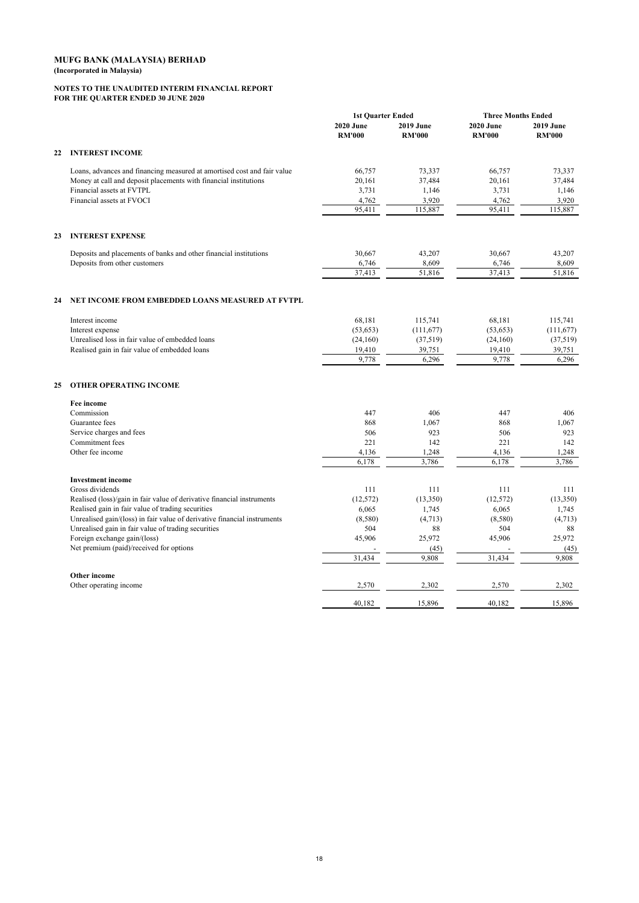#### **NOTES TO THE UNAUDITED INTERIM FINANCIAL REPORT FOR THE QUARTER ENDED 30 JUNE 2020**

|                     |                                                                          | <b>1st Ouarter Ended</b>          |                                   | <b>Three Months Ended</b>         |                                   |
|---------------------|--------------------------------------------------------------------------|-----------------------------------|-----------------------------------|-----------------------------------|-----------------------------------|
|                     |                                                                          | <b>2020 June</b><br><b>RM'000</b> | <b>2019 June</b><br><b>RM'000</b> | <b>2020 June</b><br><b>RM'000</b> | <b>2019 June</b><br><b>RM'000</b> |
| 22                  | <b>INTEREST INCOME</b>                                                   |                                   |                                   |                                   |                                   |
|                     | Loans, advances and financing measured at amortised cost and fair value  | 66,757                            | 73,337                            | 66,757                            | 73,337                            |
|                     | Money at call and deposit placements with financial institutions         | 20,161                            | 37,484                            | 20,161                            | 37,484                            |
|                     | Financial assets at FVTPL                                                | 3,731                             | 1,146                             | 3,731                             | 1,146                             |
|                     | Financial assets at FVOCI                                                | 4,762                             | 3,920                             | 4,762                             | 3,920                             |
|                     |                                                                          | 95,411                            | 115,887                           | 95,411                            | 115,887                           |
| 23                  | <b>INTEREST EXPENSE</b>                                                  |                                   |                                   |                                   |                                   |
|                     | Deposits and placements of banks and other financial institutions        | 30,667                            | 43,207                            | 30,667                            | 43,207                            |
|                     | Deposits from other customers                                            | 6,746                             | 8,609                             | 6,746                             | 8.609                             |
|                     |                                                                          | 37,413                            | 51,816                            | 37,413                            | 51,816                            |
| 24                  | NET INCOME FROM EMBEDDED LOANS MEASURED AT FVTPL                         |                                   |                                   |                                   |                                   |
| Interest income     |                                                                          | 68,181                            | 115,741                           | 68,181                            | 115,741                           |
| Interest expense    |                                                                          | (53, 653)                         | (111,677)                         | (53, 653)                         | (111, 677)                        |
|                     | Unrealised loss in fair value of embedded loans                          | (24,160)                          | (37,519)                          | (24,160)                          | (37, 519)                         |
|                     | Realised gain in fair value of embedded loans                            | 19,410                            | 39,751                            | 19,410                            | 39,751                            |
|                     |                                                                          | 9,778                             | 6,296                             | 9,778                             | 6,296                             |
| 25                  | <b>OTHER OPERATING INCOME</b>                                            |                                   |                                   |                                   |                                   |
| Fee income          |                                                                          |                                   |                                   |                                   |                                   |
| Commission          |                                                                          | 447                               | 406                               | 447                               | 406                               |
| Guarantee fees      |                                                                          | 868                               | 1,067                             | 868                               | 1,067                             |
|                     | Service charges and fees                                                 | 506                               | 923                               | 506                               | 923                               |
|                     | Commitment fees                                                          | 221                               | 142                               | 221                               | 142                               |
|                     | Other fee income                                                         | 4,136<br>6,178                    | 1,248<br>3,786                    | 4,136<br>6,178                    | 1,248<br>3,786                    |
|                     | <b>Investment</b> income                                                 |                                   |                                   |                                   |                                   |
| Gross dividends     |                                                                          | 111                               | 111                               | 111                               | 111                               |
|                     | Realised (loss)/gain in fair value of derivative financial instruments   | (12, 572)                         | (13,350)                          | (12, 572)                         | (13,350)                          |
|                     | Realised gain in fair value of trading securities                        | 6,065                             | 1,745                             | 6,065                             | 1,745                             |
|                     | Unrealised gain/(loss) in fair value of derivative financial instruments | (8,580)                           | (4, 713)                          | (8,580)                           | (4,713)                           |
|                     | Unrealised gain in fair value of trading securities                      | 504                               | 88                                | 504                               | 88                                |
|                     | Foreign exchange gain/(loss)                                             | 45,906                            | 25,972                            | 45,906                            | 25,972                            |
|                     | Net premium (paid)/received for options                                  |                                   | (45)                              |                                   | (45)                              |
|                     |                                                                          | 31,434                            | 9,808                             | 31,434                            | 9.808                             |
| <b>Other income</b> | Other operating income                                                   | 2,570                             | 2,302                             | 2,570                             | 2,302                             |
|                     |                                                                          | 40,182                            | 15,896                            | 40,182                            | 15,896                            |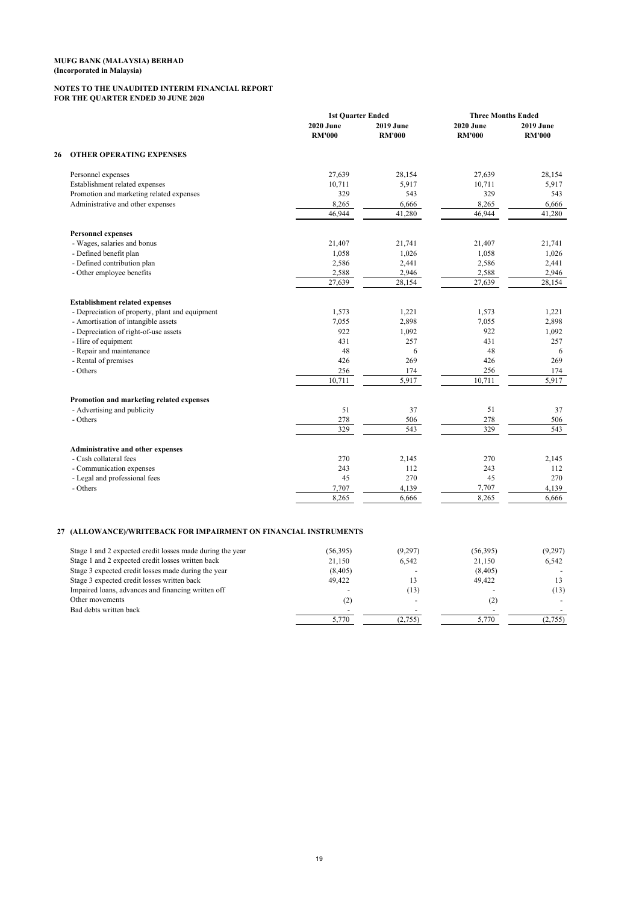#### **NOTES TO THE UNAUDITED INTERIM FINANCIAL REPORT FOR THE QUARTER ENDED 30 JUNE 2020**

|    |                                                 | <b>1st Ouarter Ended</b>          |                                   | <b>Three Months Ended</b>  |                                   |
|----|-------------------------------------------------|-----------------------------------|-----------------------------------|----------------------------|-----------------------------------|
|    |                                                 | <b>2020 June</b><br><b>RM'000</b> | <b>2019 June</b><br><b>RM'000</b> | 2020 June<br><b>RM'000</b> | <b>2019 June</b><br><b>RM'000</b> |
| 26 | <b>OTHER OPERATING EXPENSES</b>                 |                                   |                                   |                            |                                   |
|    | Personnel expenses                              | 27,639                            | 28,154                            | 27,639                     | 28,154                            |
|    | Establishment related expenses                  | 10,711                            | 5,917                             | 10,711                     | 5,917                             |
|    | Promotion and marketing related expenses        | 329                               | 543                               | 329                        | 543                               |
|    | Administrative and other expenses               | 8,265                             | 6,666                             | 8,265                      | 6.666                             |
|    |                                                 | 46,944                            | 41,280                            | 46,944                     | 41,280                            |
|    | <b>Personnel expenses</b>                       |                                   |                                   |                            |                                   |
|    | - Wages, salaries and bonus                     | 21,407                            | 21,741                            | 21,407                     | 21,741                            |
|    | - Defined benefit plan                          | 1,058                             | 1,026                             | 1,058                      | 1,026                             |
|    | - Defined contribution plan                     | 2,586                             | 2,441                             | 2,586                      | 2,441                             |
|    | - Other employee benefits                       | 2,588                             | 2,946                             | 2,588                      | 2,946                             |
|    |                                                 | 27,639                            | 28,154                            | 27,639                     | 28,154                            |
|    | <b>Establishment related expenses</b>           |                                   |                                   |                            |                                   |
|    | - Depreciation of property, plant and equipment | 1,573                             | 1,221                             | 1,573                      | 1,221                             |
|    | - Amortisation of intangible assets             | 7,055                             | 2,898                             | 7,055                      | 2,898                             |
|    | - Depreciation of right-of-use assets           | 922                               | 1,092                             | 922                        | 1,092                             |
|    | - Hire of equipment                             | 431                               | 257                               | 431                        | 257                               |
|    | - Repair and maintenance                        | 48                                | 6                                 | 48                         | 6                                 |
|    | - Rental of premises                            | 426                               | 269                               | 426                        | 269                               |
|    | - Others                                        | 256                               | 174                               | 256                        | 174                               |
|    |                                                 | 10,711                            | 5,917                             | 10,711                     | 5,917                             |
|    | Promotion and marketing related expenses        |                                   |                                   |                            |                                   |
|    | - Advertising and publicity                     | 51                                | 37                                | 51                         | 37                                |
|    | - Others                                        | 278                               | 506                               | 278                        | 506                               |
|    |                                                 | 329                               | 543                               | 329                        | 543                               |
|    | Administrative and other expenses               |                                   |                                   |                            |                                   |
|    | - Cash collateral fees                          | 270                               | 2,145                             | 270                        | 2,145                             |
|    | - Communication expenses                        | 243                               | 112                               | 243                        | 112                               |
|    | - Legal and professional fees                   | 45                                | 270                               | 45                         | 270                               |
|    | - Others                                        | 7,707                             | 4,139                             | 7,707                      | 4,139                             |
|    |                                                 | 8,265                             | 6,666                             | 8,265                      | 6,666                             |
|    |                                                 |                                   |                                   |                            |                                   |

## **27 (ALLOWANCE)/WRITEBACK FOR IMPAIRMENT ON FINANCIAL INSTRUMENTS**

| Stage 1 and 2 expected credit losses made during the year | (56, 395) | (9,297) | (56, 395)         | (9,297) |
|-----------------------------------------------------------|-----------|---------|-------------------|---------|
| Stage 1 and 2 expected credit losses written back         | 21.150    | 6.542   | 21.150            | 6.542   |
| Stage 3 expected credit losses made during the year       | (8,405)   |         | (8, 405)          |         |
| Stage 3 expected credit losses written back               | 49.422    | В       | 49.422            |         |
| Impaired loans, advances and financing written off        |           | (13)    |                   | (13)    |
| Other movements                                           | (2)       |         | $\left( 2\right)$ |         |
| Bad debts written back                                    |           |         |                   |         |
|                                                           | 5,770     | (2,755) | 5.770             | (2,755) |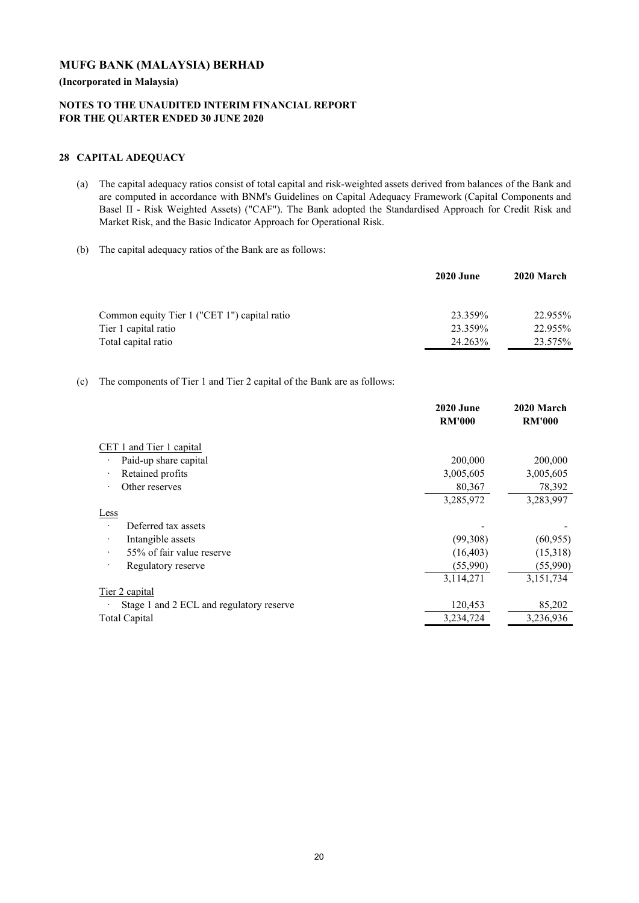**(Incorporated in Malaysia)**

# **NOTES TO THE UNAUDITED INTERIM FINANCIAL REPORT FOR THE QUARTER ENDED 30 JUNE 2020**

## **28 CAPITAL ADEQUACY**

- (a) The capital adequacy ratios consist of total capital and risk-weighted assets derived from balances of the Bank and are computed in accordance with BNM's Guidelines on Capital Adequacy Framework (Capital Components and Basel II - Risk Weighted Assets) ("CAF"). The Bank adopted the Standardised Approach for Credit Risk and Market Risk, and the Basic Indicator Approach for Operational Risk.
- (b) The capital adequacy ratios of the Bank are as follows:

|                                              | <b>2020 June</b> | 2020 March |
|----------------------------------------------|------------------|------------|
| Common equity Tier 1 ("CET 1") capital ratio | 23.359%          | 22.955%    |
| Tier 1 capital ratio                         | 23.359%          | 22.955%    |
| Total capital ratio                          | 24.263%          | 23.575%    |

## (c) The components of Tier 1 and Tier 2 capital of the Bank are as follows:

|                                          | <b>2020 June</b><br><b>RM'000</b> | 2020 March<br><b>RM'000</b> |
|------------------------------------------|-----------------------------------|-----------------------------|
| CET 1 and Tier 1 capital                 |                                   |                             |
| Paid-up share capital                    | 200,000                           | 200,000                     |
| Retained profits                         | 3,005,605                         | 3,005,605                   |
| Other reserves                           | 80,367                            | 78,392                      |
|                                          | 3,285,972                         | 3,283,997                   |
| Less                                     |                                   |                             |
| Deferred tax assets                      |                                   |                             |
| Intangible assets                        | (99,308)                          | (60, 955)                   |
| 55% of fair value reserve                | (16, 403)                         | (15,318)                    |
| Regulatory reserve                       | (55,990)                          | (55,990)                    |
|                                          | 3,114,271                         | 3,151,734                   |
| Tier 2 capital                           |                                   |                             |
| Stage 1 and 2 ECL and regulatory reserve | 120,453                           | 85,202                      |
| <b>Total Capital</b>                     | 3,234,724                         | 3,236,936                   |
|                                          |                                   |                             |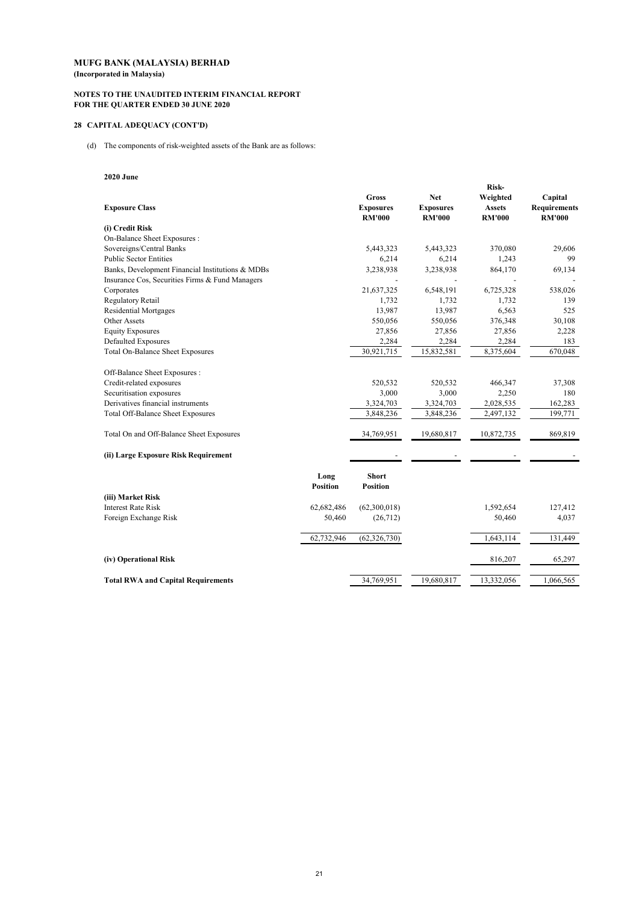#### **NOTES TO THE UNAUDITED INTERIM FINANCIAL REPORT FOR THE QUARTER ENDED 30 JUNE 2020**

## **28 CAPITAL ADEQUACY (CONT'D)**

(d) The components of risk-weighted assets of the Bank are as follows:

## **2020 June**

|                                                  |                         |                                            |                                                 | Risk-                                      |                                                 |
|--------------------------------------------------|-------------------------|--------------------------------------------|-------------------------------------------------|--------------------------------------------|-------------------------------------------------|
| <b>Exposure Class</b>                            |                         | Gross<br><b>Exposures</b><br><b>RM'000</b> | <b>Net</b><br><b>Exposures</b><br><b>RM'000</b> | Weighted<br><b>Assets</b><br><b>RM'000</b> | Capital<br><b>Requirements</b><br><b>RM'000</b> |
| (i) Credit Risk                                  |                         |                                            |                                                 |                                            |                                                 |
| On-Balance Sheet Exposures:                      |                         |                                            |                                                 |                                            |                                                 |
| Sovereigns/Central Banks                         |                         | 5,443,323                                  | 5,443,323                                       | 370,080                                    | 29,606                                          |
| <b>Public Sector Entities</b>                    |                         | 6,214                                      | 6,214                                           | 1,243                                      | 99                                              |
| Banks, Development Financial Institutions & MDBs |                         | 3,238,938                                  | 3,238,938                                       | 864,170                                    | 69,134                                          |
| Insurance Cos, Securities Firms & Fund Managers  |                         |                                            |                                                 |                                            |                                                 |
| Corporates                                       |                         | 21,637,325                                 | 6,548,191                                       | 6,725,328                                  | 538,026                                         |
| Regulatory Retail                                |                         | 1,732                                      | 1,732                                           | 1,732                                      | 139                                             |
| <b>Residential Mortgages</b>                     |                         | 13,987                                     | 13,987                                          | 6,563                                      | 525                                             |
| Other Assets                                     |                         | 550,056                                    | 550,056                                         | 376,348                                    | 30,108                                          |
| <b>Equity Exposures</b>                          |                         | 27,856                                     | 27,856                                          | 27,856                                     | 2,228                                           |
| Defaulted Exposures                              |                         | 2,284                                      | 2,284                                           | 2,284                                      | 183                                             |
| <b>Total On-Balance Sheet Exposures</b>          |                         | 30,921,715                                 | 15,832,581                                      | 8,375,604                                  | 670,048                                         |
| Off-Balance Sheet Exposures:                     |                         |                                            |                                                 |                                            |                                                 |
| Credit-related exposures                         |                         | 520,532                                    | 520,532                                         | 466,347                                    | 37,308                                          |
| Securitisation exposures                         |                         | 3,000                                      | 3,000                                           | 2,250                                      | 180                                             |
| Derivatives financial instruments                |                         | 3,324,703                                  | 3,324,703                                       | 2,028,535                                  | 162,283                                         |
| <b>Total Off-Balance Sheet Exposures</b>         |                         | 3,848,236                                  | 3,848,236                                       | 2,497,132                                  | 199,771                                         |
| Total On and Off-Balance Sheet Exposures         |                         | 34,769,951                                 | 19,680,817                                      | 10,872,735                                 | 869,819                                         |
| (ii) Large Exposure Risk Requirement             |                         |                                            |                                                 |                                            |                                                 |
|                                                  | Long<br><b>Position</b> | <b>Short</b><br><b>Position</b>            |                                                 |                                            |                                                 |
| (iii) Market Risk                                |                         |                                            |                                                 |                                            |                                                 |
| <b>Interest Rate Risk</b>                        | 62,682,486              | (62,300,018)                               |                                                 | 1,592,654                                  | 127,412                                         |
| Foreign Exchange Risk                            | 50,460                  | (26,712)                                   |                                                 | 50,460                                     | 4,037                                           |
|                                                  |                         |                                            |                                                 |                                            |                                                 |
|                                                  | 62,732,946              | (62, 326, 730)                             |                                                 | 1,643,114                                  | 131,449                                         |
| (iv) Operational Risk                            |                         |                                            |                                                 | 816,207                                    | 65,297                                          |
| <b>Total RWA and Capital Requirements</b>        |                         | 34.769.951                                 | 19.680.817                                      | 13,332,056                                 | 1.066.565                                       |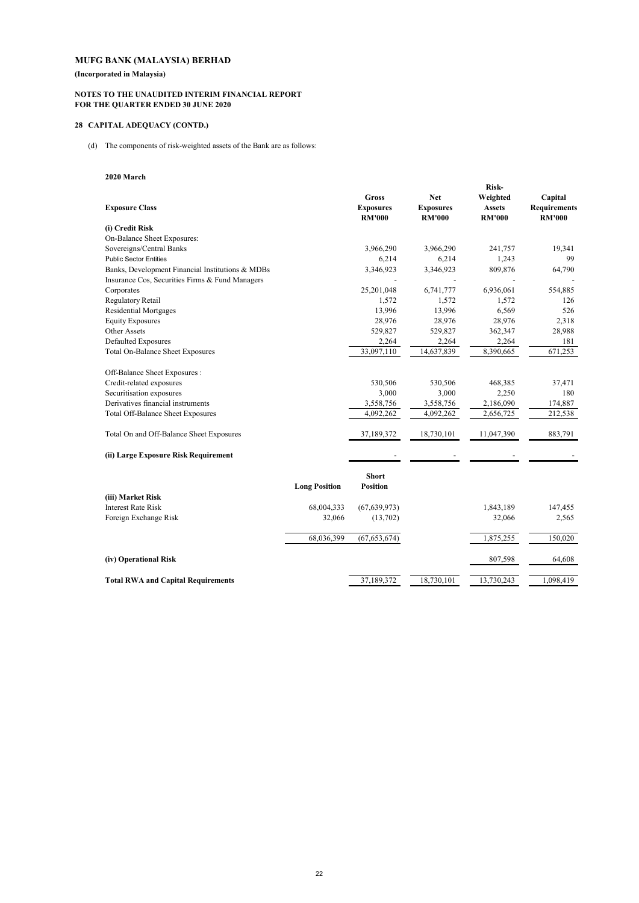**(Incorporated in Malaysia)**

#### **NOTES TO THE UNAUDITED INTERIM FINANCIAL REPORT FOR THE QUARTER ENDED 30 JUNE 2020**

## **28 CAPITAL ADEQUACY (CONTD.)**

(d) The components of risk-weighted assets of the Bank are as follows:

## **2020 March**

|                                                  |                      |                                            |                                                 | Risk-                                      |                                                 |
|--------------------------------------------------|----------------------|--------------------------------------------|-------------------------------------------------|--------------------------------------------|-------------------------------------------------|
| <b>Exposure Class</b>                            |                      | Gross<br><b>Exposures</b><br><b>RM'000</b> | <b>Net</b><br><b>Exposures</b><br><b>RM'000</b> | Weighted<br><b>Assets</b><br><b>RM'000</b> | Capital<br><b>Requirements</b><br><b>RM'000</b> |
| (i) Credit Risk                                  |                      |                                            |                                                 |                                            |                                                 |
| On-Balance Sheet Exposures:                      |                      |                                            |                                                 |                                            |                                                 |
| Sovereigns/Central Banks                         |                      | 3,966,290                                  | 3,966,290                                       | 241,757                                    | 19,341                                          |
| <b>Public Sector Entities</b>                    |                      | 6,214                                      | 6,214                                           | 1,243                                      | 99                                              |
| Banks, Development Financial Institutions & MDBs |                      | 3,346,923                                  | 3,346,923                                       | 809,876                                    | 64,790                                          |
| Insurance Cos, Securities Firms & Fund Managers  |                      |                                            | $\overline{\phantom{a}}$                        |                                            |                                                 |
| Corporates                                       |                      | 25,201,048                                 | 6,741,777                                       | 6,936,061                                  | 554,885                                         |
| Regulatory Retail                                |                      | 1,572                                      | 1,572                                           | 1,572                                      | 126                                             |
| <b>Residential Mortgages</b>                     |                      | 13,996                                     | 13,996                                          | 6,569                                      | 526                                             |
| <b>Equity Exposures</b>                          |                      | 28,976                                     | 28,976                                          | 28,976                                     | 2,318                                           |
| Other Assets                                     |                      | 529,827                                    | 529,827                                         | 362,347                                    | 28,988                                          |
| <b>Defaulted Exposures</b>                       |                      | 2,264                                      | 2,264                                           | 2,264                                      | 181                                             |
| Total On-Balance Sheet Exposures                 |                      | 33,097,110                                 | 14,637,839                                      | 8,390,665                                  | 671,253                                         |
| Off-Balance Sheet Exposures :                    |                      |                                            |                                                 |                                            |                                                 |
| Credit-related exposures                         |                      | 530,506                                    | 530,506                                         | 468,385                                    | 37,471                                          |
| Securitisation exposures                         |                      | 3,000                                      | 3,000                                           | 2,250                                      | 180                                             |
| Derivatives financial instruments                |                      | 3,558,756                                  | 3,558,756                                       | 2,186,090                                  | 174,887                                         |
| Total Off-Balance Sheet Exposures                |                      | 4,092,262                                  | 4,092,262                                       | 2,656,725                                  | 212,538                                         |
| Total On and Off-Balance Sheet Exposures         |                      | 37,189,372                                 | 18,730,101                                      | 11,047,390                                 | 883,791                                         |
| (ii) Large Exposure Risk Requirement             |                      |                                            |                                                 |                                            |                                                 |
|                                                  | <b>Long Position</b> | <b>Short</b><br><b>Position</b>            |                                                 |                                            |                                                 |
| (iii) Market Risk                                |                      |                                            |                                                 |                                            |                                                 |
| <b>Interest Rate Risk</b>                        | 68,004,333           | (67, 639, 973)                             |                                                 | 1,843,189                                  | 147,455                                         |
| Foreign Exchange Risk                            | 32,066               | (13,702)                                   |                                                 | 32,066                                     | 2,565                                           |
|                                                  | 68,036,399           | (67, 653, 674)                             |                                                 | 1,875,255                                  | 150,020                                         |
| (iv) Operational Risk                            |                      |                                            |                                                 | 807,598                                    | 64,608                                          |
| <b>Total RWA and Capital Requirements</b>        |                      | 37.189.372                                 | 18.730.101                                      | 13.730.243                                 | 1,098,419                                       |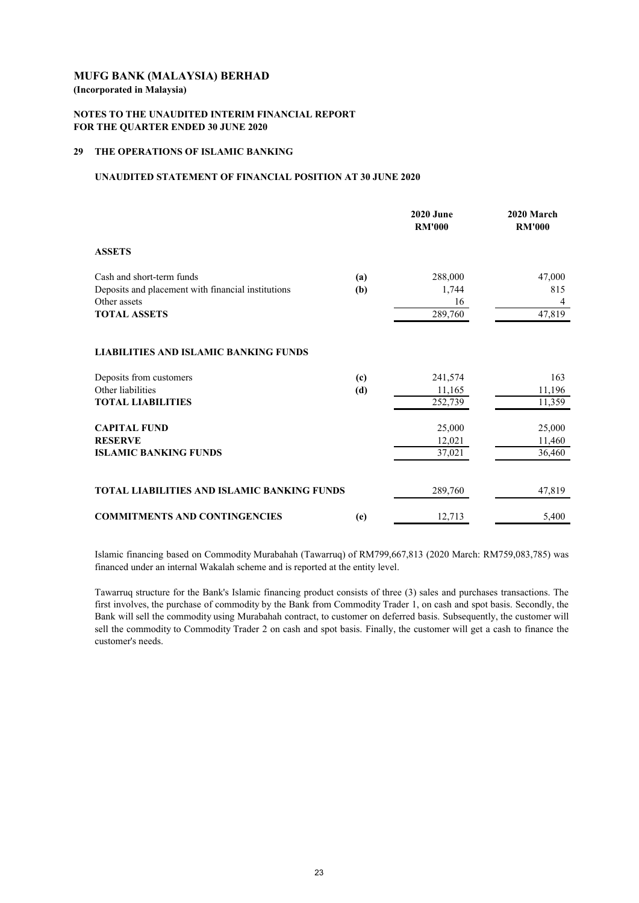## **NOTES TO THE UNAUDITED INTERIM FINANCIAL REPORT FOR THE QUARTER ENDED 30 JUNE 2020**

## **29 THE OPERATIONS OF ISLAMIC BANKING**

## **UNAUDITED STATEMENT OF FINANCIAL POSITION AT 30 JUNE 2020**

|                                                                    |     | <b>2020 June</b><br><b>RM'000</b> | 2020 March<br><b>RM'000</b> |
|--------------------------------------------------------------------|-----|-----------------------------------|-----------------------------|
| <b>ASSETS</b>                                                      |     |                                   |                             |
| Cash and short-term funds                                          | (a) | 288,000                           | 47,000                      |
| Deposits and placement with financial institutions<br>Other assets | (b) | 1,744<br>16                       | 815<br>4                    |
| <b>TOTAL ASSETS</b>                                                |     | 289,760                           | 47,819                      |
| <b>LIABILITIES AND ISLAMIC BANKING FUNDS</b>                       |     |                                   |                             |
| Deposits from customers                                            | (c) | 241,574                           | 163                         |
| Other liabilities                                                  | (d) | 11,165                            | 11,196                      |
| <b>TOTAL LIABILITIES</b>                                           |     | 252,739                           | 11,359                      |
| <b>CAPITAL FUND</b>                                                |     | 25,000                            | 25,000                      |
| <b>RESERVE</b>                                                     |     | 12,021                            | 11,460                      |
| <b>ISLAMIC BANKING FUNDS</b>                                       |     | 37,021                            | 36,460                      |
|                                                                    |     |                                   |                             |
| <b>TOTAL LIABILITIES AND ISLAMIC BANKING FUNDS</b>                 |     | 289,760                           | 47,819                      |
| <b>COMMITMENTS AND CONTINGENCIES</b>                               | (e) | 12,713                            | 5,400                       |

Islamic financing based on Commodity Murabahah (Tawarruq) of RM799,667,813 (2020 March: RM759,083,785) was financed under an internal Wakalah scheme and is reported at the entity level.

Tawarruq structure for the Bank's Islamic financing product consists of three (3) sales and purchases transactions. The first involves, the purchase of commodity by the Bank from Commodity Trader 1, on cash and spot basis. Secondly, the Bank will sell the commodity using Murabahah contract, to customer on deferred basis. Subsequently, the customer will sell the commodity to Commodity Trader 2 on cash and spot basis. Finally, the customer will get a cash to finance the customer's needs.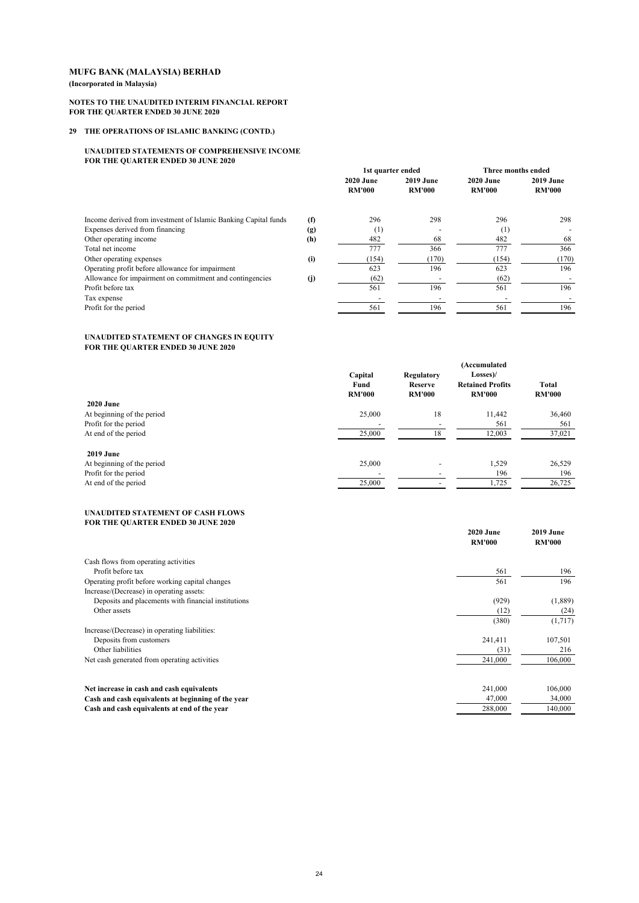#### **(Incorporated in Malaysia)**

#### **NOTES TO THE UNAUDITED INTERIM FINANCIAL REPORT FOR THE QUARTER ENDED 30 JUNE 2020**

## **29 THE OPERATIONS OF ISLAMIC BANKING (CONTD.)**

#### **UNAUDITED STATEMENTS OF COMPREHENSIVE INCOME FOR THE QUARTER ENDED 30 JUNE 2020**

|                                                                 |     | 1st quarter ended                 |                                   | Three months ended         |                                   |
|-----------------------------------------------------------------|-----|-----------------------------------|-----------------------------------|----------------------------|-----------------------------------|
|                                                                 |     | <b>2020 June</b><br><b>RM'000</b> | <b>2019 June</b><br><b>RM'000</b> | 2020 June<br><b>RM'000</b> | <b>2019 June</b><br><b>RM'000</b> |
|                                                                 |     |                                   |                                   |                            |                                   |
| Income derived from investment of Islamic Banking Capital funds | (f) | 296                               | 298                               | 296                        | 298                               |
| Expenses derived from financing                                 | (g) | (1)                               |                                   | (1)                        |                                   |
| Other operating income                                          | (h) | 482                               | 68                                | 482                        | 68                                |
| Total net income                                                |     | 777                               | 366                               | 777                        | 366                               |
| Other operating expenses                                        | (i) | (154)                             | (170)                             | (154)                      | (170)                             |
| Operating profit before allowance for impairment                |     | 623                               | 196                               | 623                        | 196                               |
| Allowance for impairment on commitment and contingencies        | (j) | (62)                              |                                   | (62)                       |                                   |
| Profit before tax                                               |     | 561                               | 196                               | 561                        | 196                               |
| Tax expense                                                     |     |                                   |                                   |                            |                                   |
| Profit for the period                                           |     | 561                               | 196                               | 561                        | 196                               |

#### **UNAUDITED STATEMENT OF CHANGES IN EQUITY FOR THE QUARTER ENDED 30 JUNE 2020**

|                            | Capital<br>Fund<br><b>RM'000</b> | <b>Regulatory</b><br><b>Reserve</b><br><b>RM'000</b> | (Accumulated<br>Losses)/<br><b>Retained Profits</b><br><b>RM'000</b> | <b>Total</b><br><b>RM'000</b> |
|----------------------------|----------------------------------|------------------------------------------------------|----------------------------------------------------------------------|-------------------------------|
| <b>2020 June</b>           |                                  |                                                      |                                                                      |                               |
| At beginning of the period | 25,000                           | 18                                                   | 11,442                                                               | 36,460                        |
| Profit for the period      |                                  |                                                      | 561                                                                  | 561                           |
| At end of the period       | 25,000                           | 18                                                   | 12,003                                                               | 37,021                        |
| <b>2019 June</b>           |                                  |                                                      |                                                                      |                               |
| At beginning of the period | 25,000                           |                                                      | 1,529                                                                | 26,529                        |
| Profit for the period      |                                  |                                                      | 196                                                                  | 196                           |
| At end of the period       | 25,000                           |                                                      | 1,725                                                                | 26,725                        |

#### **UNAUDITED STATEMENT OF CASH FLOWS FOR THE QUARTER ENDED 30 JUNE 2020**

|                                                     | <b>2020 June</b><br><b>RM'000</b> | 2019 June<br><b>RM'000</b> |
|-----------------------------------------------------|-----------------------------------|----------------------------|
| Cash flows from operating activities                |                                   |                            |
| Profit before tax                                   | 561                               | 196                        |
| Operating profit before working capital changes     | 561                               | 196                        |
| Increase/(Decrease) in operating assets:            |                                   |                            |
| Deposits and placements with financial institutions | (929)                             | (1,889)                    |
| Other assets                                        | (12)                              | (24)                       |
|                                                     | (380)                             | (1,717)                    |
| Increase/(Decrease) in operating liabilities:       |                                   |                            |
| Deposits from customers                             | 241,411                           | 107,501                    |
| Other liabilities                                   | (31)                              | 216                        |
| Net cash generated from operating activities        | 241,000                           | 106,000                    |
| Net increase in cash and cash equivalents           | 241,000                           | 106,000                    |
| Cash and cash equivalents at beginning of the year  | 47,000                            | 34,000                     |
| Cash and cash equivalents at end of the year        | 288,000                           | 140,000                    |
|                                                     |                                   |                            |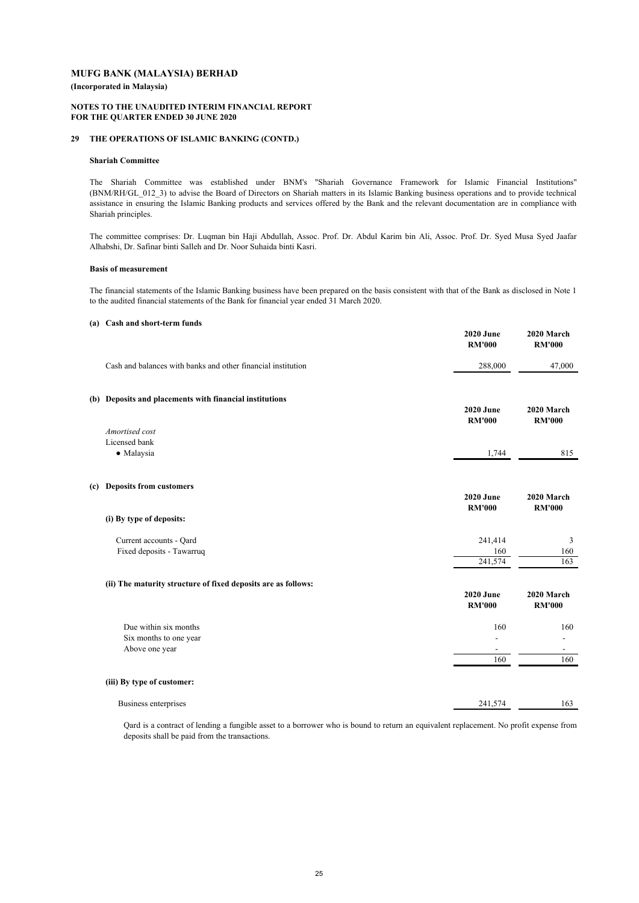**(Incorporated in Malaysia)**

#### **NOTES TO THE UNAUDITED INTERIM FINANCIAL REPORT FOR THE QUARTER ENDED 30 JUNE 2020**

#### **29 THE OPERATIONS OF ISLAMIC BANKING (CONTD.)**

#### **Shariah Committee**

The Shariah Committee was established under BNM's "Shariah Governance Framework for Islamic Financial Institutions" (BNM/RH/GL\_012\_3) to advise the Board of Directors on Shariah matters in its Islamic Banking business operations and to provide technical assistance in ensuring the Islamic Banking products and services offered by the Bank and the relevant documentation are in compliance with Shariah principles.

The committee comprises: Dr. Luqman bin Haji Abdullah, Assoc. Prof. Dr. Abdul Karim bin Ali, Assoc. Prof. Dr. Syed Musa Syed Jaafar Alhabshi, Dr. Safinar binti Salleh and Dr. Noor Suhaida binti Kasri.

#### **Basis of measurement**

The financial statements of the Islamic Banking business have been prepared on the basis consistent with that of the Bank as disclosed in Note 1 to the audited financial statements of the Bank for financial year ended 31 March 2020.

#### **(a) Cash and short-term funds**

|                                                                   | <b>2020 June</b><br><b>RM'000</b> | 2020 March<br><b>RM'000</b> |
|-------------------------------------------------------------------|-----------------------------------|-----------------------------|
| Cash and balances with banks and other financial institution      | 288,000                           | 47,000                      |
| (b) Deposits and placements with financial institutions           | <b>2020 June</b><br><b>RM'000</b> | 2020 March<br><b>RM'000</b> |
| Amortised cost<br>Licensed bank<br>· Malaysia                     | 1,744                             | 815                         |
| (c) Deposits from customers                                       | <b>2020 June</b><br><b>RM'000</b> | 2020 March<br><b>RM'000</b> |
| (i) By type of deposits:                                          |                                   |                             |
| Current accounts - Qard<br>Fixed deposits - Tawarruq              | 241,414<br>160<br>241,574         | 3<br>160<br>163             |
| (ii) The maturity structure of fixed deposits are as follows:     | <b>2020 June</b><br><b>RM'000</b> | 2020 March<br><b>RM'000</b> |
| Due within six months<br>Six months to one year<br>Above one year | 160<br>160                        | 160<br>160                  |
| (iii) By type of customer:                                        |                                   |                             |
| Business enterprises                                              | 241,574                           | 163                         |
|                                                                   |                                   |                             |

Qard is a contract of lending a fungible asset to a borrower who is bound to return an equivalent replacement. No profit expense from deposits shall be paid from the transactions.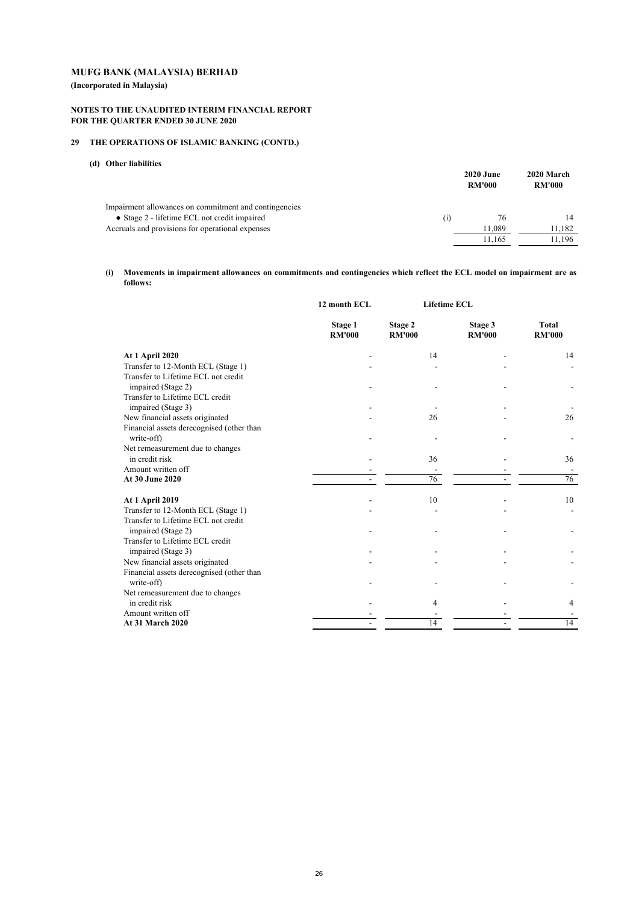**(Incorporated in Malaysia)**

#### **NOTES TO THE UNAUDITED INTERIM FINANCIAL REPORT FOR THE QUARTER ENDED 30 JUNE 2020**

## **29 THE OPERATIONS OF ISLAMIC BANKING (CONTD.)**

## **(d) Other liabilities**

|                                                       |                  | <b>2020 June</b><br><b>RM'000</b> | 2020 March<br><b>RM'000</b> |
|-------------------------------------------------------|------------------|-----------------------------------|-----------------------------|
| Impairment allowances on commitment and contingencies |                  |                                   |                             |
| • Stage 2 - lifetime ECL not credit impaired          | $\left(1\right)$ | 76                                |                             |
| Accruals and provisions for operational expenses      |                  | 11.089                            | 11.182                      |
|                                                       |                  | 11.165                            | 1.196                       |

#### **(i) Movements in impairment allowances on commitments and contingencies which reflect the ECL model on impairment are as follows:**

|                                                           | 12 month ECL             | <b>Lifetime ECL</b>      |                          |                        |
|-----------------------------------------------------------|--------------------------|--------------------------|--------------------------|------------------------|
|                                                           | Stage 1<br><b>RM'000</b> | Stage 2<br><b>RM'000</b> | Stage 3<br><b>RM'000</b> | Total<br><b>RM'000</b> |
| At 1 April 2020                                           |                          | 14                       |                          | 14                     |
| Transfer to 12-Month ECL (Stage 1)                        |                          |                          |                          |                        |
| Transfer to Lifetime ECL not credit<br>impaired (Stage 2) |                          |                          |                          |                        |
| Transfer to Lifetime ECL credit<br>impaired (Stage 3)     |                          |                          |                          |                        |
| New financial assets originated                           |                          | 26                       |                          | 26                     |
| Financial assets derecognised (other than<br>write-off)   |                          |                          |                          |                        |
| Net remeasurement due to changes                          |                          |                          |                          |                        |
| in credit risk                                            |                          | 36                       |                          | 36                     |
| Amount written off                                        |                          |                          |                          |                        |
| At 30 June 2020                                           |                          | 76                       |                          | 76                     |
| <b>At 1 April 2019</b>                                    |                          | 10                       |                          | 10                     |
| Transfer to 12-Month ECL (Stage 1)                        |                          |                          |                          |                        |
| Transfer to Lifetime ECL not credit                       |                          |                          |                          |                        |
| impaired (Stage 2)                                        |                          |                          |                          |                        |
| Transfer to Lifetime ECL credit<br>impaired (Stage 3)     |                          |                          |                          |                        |
| New financial assets originated                           |                          |                          |                          |                        |
| Financial assets derecognised (other than<br>write-off)   |                          |                          |                          |                        |
| Net remeasurement due to changes                          |                          |                          |                          |                        |
| in credit risk                                            |                          | 4                        |                          | 4                      |
| Amount written off                                        |                          |                          |                          |                        |
| <b>At 31 March 2020</b>                                   |                          | 14                       |                          | 14                     |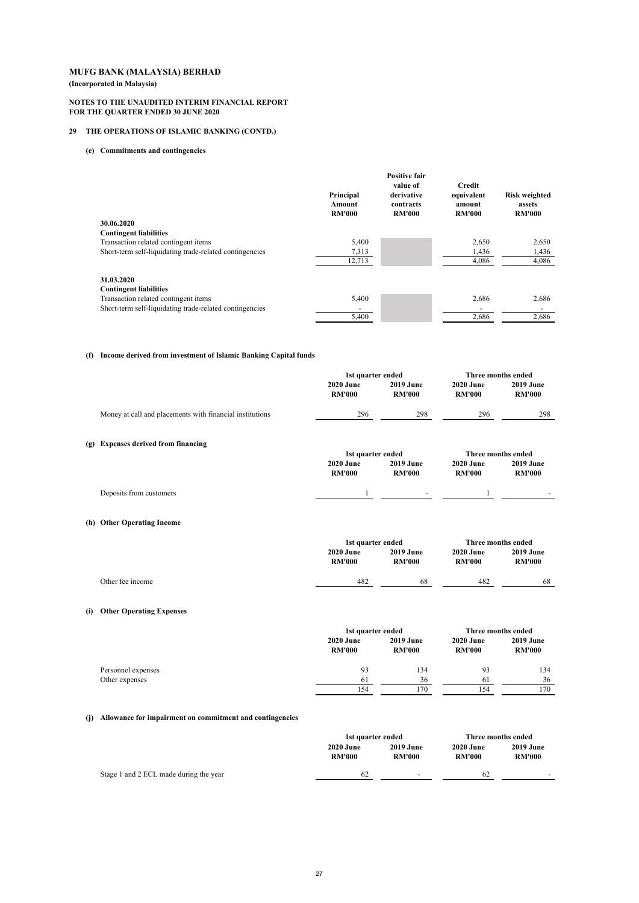**(Incorporated in Malaysia)**

#### **NOTES TO THE UNAUDITED INTERIM FINANCIAL REPORT FOR THE QUARTER ENDED 30 JUNE 2020**

## **29 THE OPERATIONS OF ISLAMIC BANKING (CONTD.)**

#### **(e) Commitments and contingencies**

|                                                         |                                      | <b>Positive fair</b>                                 |                                                 |                                                 |
|---------------------------------------------------------|--------------------------------------|------------------------------------------------------|-------------------------------------------------|-------------------------------------------------|
|                                                         | Principal<br>Amount<br><b>RM'000</b> | value of<br>derivative<br>contracts<br><b>RM'000</b> | Credit<br>equivalent<br>amount<br><b>RM'000</b> | <b>Risk weighted</b><br>assets<br><b>RM'000</b> |
| 30.06.2020                                              |                                      |                                                      |                                                 |                                                 |
| <b>Contingent liabilities</b>                           |                                      |                                                      |                                                 |                                                 |
| Transaction related contingent items                    | 5,400                                |                                                      | 2,650                                           | 2,650                                           |
| Short-term self-liquidating trade-related contingencies | 7,313                                |                                                      | 1,436                                           | 1,436                                           |
|                                                         | 12,713                               |                                                      | 4,086                                           | 4,086                                           |
| 31.03.2020<br><b>Contingent liabilities</b>             |                                      |                                                      |                                                 |                                                 |
| Transaction related contingent items                    | 5,400                                |                                                      | 2,686                                           | 2,686                                           |
| Short-term self-liquidating trade-related contingencies |                                      |                                                      |                                                 |                                                 |
|                                                         | 5,400                                |                                                      | 2,686                                           | 2,686                                           |

#### **(f) Income derived from investment of Islamic Banking Capital funds**

|     |                                                          | 1st quarter ended                 |                                   | Three months ended                |                                   |  |
|-----|----------------------------------------------------------|-----------------------------------|-----------------------------------|-----------------------------------|-----------------------------------|--|
|     |                                                          | <b>2020 June</b><br><b>RM'000</b> | <b>2019 June</b><br><b>RM'000</b> | <b>2020 June</b><br><b>RM'000</b> | <b>2019 June</b><br><b>RM'000</b> |  |
|     | Money at call and placements with financial institutions | 296                               | 298                               | 296                               | 298                               |  |
|     | (g) Expenses derived from financing                      | 1st quarter ended                 |                                   |                                   | Three months ended                |  |
|     |                                                          | <b>2020 June</b><br><b>RM'000</b> | <b>2019 June</b><br><b>RM'000</b> | <b>2020 June</b><br><b>RM'000</b> | <b>2019 June</b><br><b>RM'000</b> |  |
|     | Deposits from customers                                  | 1                                 |                                   | 1                                 |                                   |  |
|     | (h) Other Operating Income                               |                                   |                                   |                                   |                                   |  |
|     |                                                          | 1st quarter ended                 |                                   | <b>Three months ended</b>         |                                   |  |
|     |                                                          | <b>2020 June</b><br><b>RM'000</b> | 2019 June<br><b>RM'000</b>        | <b>2020 June</b><br><b>RM'000</b> | <b>2019 June</b><br><b>RM'000</b> |  |
|     | Other fee income                                         | 482                               | 68                                | 482                               | 68                                |  |
| (i) | <b>Other Operating Expenses</b>                          |                                   |                                   |                                   |                                   |  |

|                    |                                   | 1st quarter ended                 |                                   | Three months ended                |
|--------------------|-----------------------------------|-----------------------------------|-----------------------------------|-----------------------------------|
|                    | <b>2020 June</b><br><b>RM'000</b> | <b>2019 June</b><br><b>RM'000</b> | <b>2020 June</b><br><b>RM'000</b> | <b>2019 June</b><br><b>RM'000</b> |
| Personnel expenses | 93                                | 134                               | 93                                | 134                               |
| Other expenses     | 61                                | 36                                | 61                                | 36                                |
|                    | 154                               | 170                               | 154                               | 170                               |

## **(j) Allowance for impairment on commitment and contingencies**

|                                        | 1st quarter ended                 |                                   | Three months ended                |                                   |
|----------------------------------------|-----------------------------------|-----------------------------------|-----------------------------------|-----------------------------------|
|                                        | <b>2020 June</b><br><b>RM'000</b> | <b>2019 June</b><br><b>RM'000</b> | <b>2020 June</b><br><b>RM'000</b> | <b>2019 June</b><br><b>RM'000</b> |
| Stage 1 and 2 ECL made during the year | 62                                | $\overline{a}$                    | 62                                | -                                 |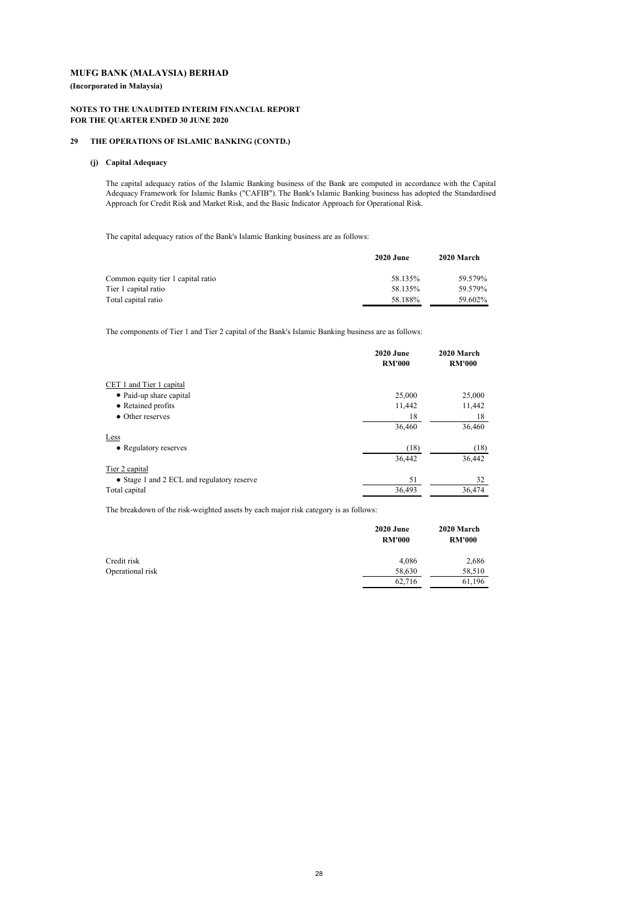**(Incorporated in Malaysia)**

#### **NOTES TO THE UNAUDITED INTERIM FINANCIAL REPORT FOR THE QUARTER ENDED 30 JUNE 2020**

#### **29 THE OPERATIONS OF ISLAMIC BANKING (CONTD.)**

#### **(j) Capital Adequacy**

The capital adequacy ratios of the Islamic Banking business of the Bank are computed in accordance with the Capital Adequacy Framework for Islamic Banks ("CAFIB"). The Bank's Islamic Banking business has adopted the Standardised Approach for Credit Risk and Market Risk, and the Basic Indicator Approach for Operational Risk.

The capital adequacy ratios of the Bank's Islamic Banking business are as follows:

|                                    | <b>2020 June</b> | 2020 March |
|------------------------------------|------------------|------------|
| Common equity tier 1 capital ratio | 58.135%          | 59.579%    |
| Tier 1 capital ratio               | 58.135%          | 59.579%    |
| Total capital ratio                | 58.188%          | 59.602%    |

The components of Tier 1 and Tier 2 capital of the Bank's Islamic Banking business are as follows:

|                                            | <b>2020 June</b> | 2020 March    |  |
|--------------------------------------------|------------------|---------------|--|
|                                            | <b>RM'000</b>    | <b>RM'000</b> |  |
| CET 1 and Tier 1 capital                   |                  |               |  |
| • Paid-up share capital                    | 25,000           | 25,000        |  |
| • Retained profits                         | 11,442           | 11,442        |  |
| • Other reserves                           | 18               | 18            |  |
|                                            | 36,460           | 36,460        |  |
| Less                                       |                  |               |  |
| • Regulatory reserves                      | (18)             | (18)          |  |
|                                            | 36,442           | 36,442        |  |
| Tier 2 capital                             |                  |               |  |
| • Stage 1 and 2 ECL and regulatory reserve | 51               | 32            |  |
| Total capital                              | 36,493           | 36,474        |  |

The breakdown of the risk-weighted assets by each major risk category is as follows:

|                  | <b>2020 June</b><br><b>RM'000</b> | 2020 March<br><b>RM'000</b> |
|------------------|-----------------------------------|-----------------------------|
| Credit risk      | 4,086                             | 2,686                       |
| Operational risk | 58,630                            | 58,510                      |
|                  | 62,716                            | 61,196                      |